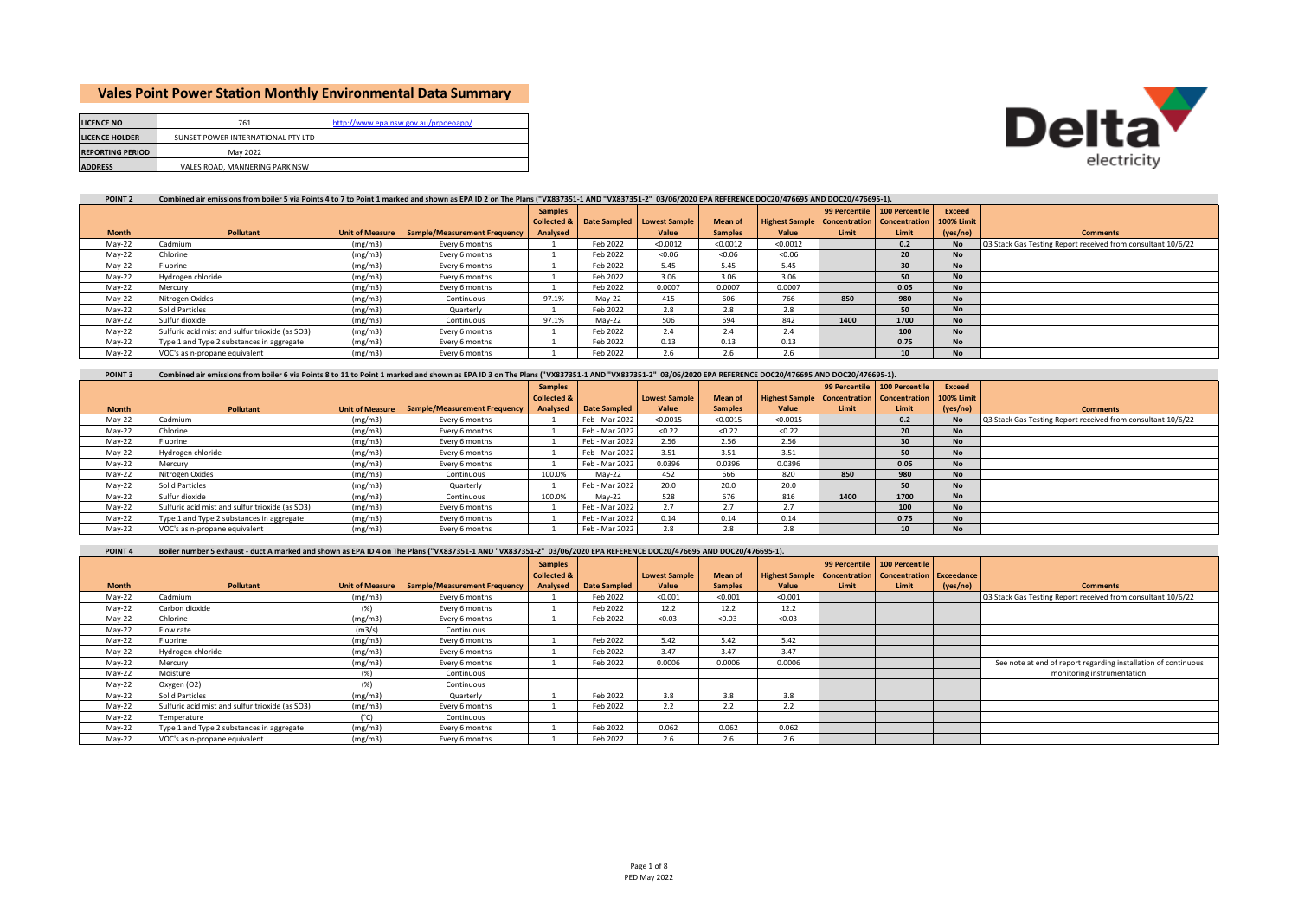# **Vales Point Power Station Monthly Environmental Data Summary**

| electricity |
|-------------|

| <b>LICENCE NO</b>       | 761                                | http://www.epa.nsw.gov.au/prpoeoapp/ |
|-------------------------|------------------------------------|--------------------------------------|
| <b>LICENCE HOLDER</b>   | SUNSET POWER INTERNATIONAL PTY LTD |                                      |
| <b>REPORTING PERIOD</b> | May 2022                           |                                      |
| <b>ADDRESS</b>          | VALES ROAD, MANNERING PARK NSW     |                                      |

### **POINT 2 Combined air emissions from boiler 5 via Points 4 to 7 to Point 1 marked and shown as EPA ID 2 on The Plans ("VX837351-1 AND "VX837351-2" 03/06/2020 EPA REFERENCE DOC20/476695 AND DOC20/476695-1).**

|              |                                                 |         |                                                | <b>Samples</b> |          |                                        |                |                                                         | 99 Percentile | 100 Percentile | Exceed            |                                                              |
|--------------|-------------------------------------------------|---------|------------------------------------------------|----------------|----------|----------------------------------------|----------------|---------------------------------------------------------|---------------|----------------|-------------------|--------------------------------------------------------------|
|              |                                                 |         |                                                |                |          | Collected & Date Sampled Lowest Sample | <b>Mean of</b> | <b>Highest Sample   Concentration   Concentration  </b> |               |                | <b>100% Limit</b> |                                                              |
| <b>Month</b> | <b>Pollutant</b>                                |         | Unit of Measure   Sample/Measurement Frequency | Analysed       |          | Value                                  | <b>Samples</b> | Value                                                   | Limit         | Limit          | (yes/no)          | <b>Comments</b>                                              |
| May-22       | Cadmium                                         | (mg/m3) | Every 6 months                                 |                | Feb 2022 | < 0.0012                               | < 0.0012       | < 0.0012                                                |               | 0.2            | <b>No</b>         | Q3 Stack Gas Testing Report received from consultant 10/6/22 |
| May-22       | Chlorine                                        | (mg/m3) | Every 6 months                                 |                | Feb 2022 | < 0.06                                 | < 0.06         | < 0.06                                                  |               | 20             | <b>No</b>         |                                                              |
| May-22       | Fluorine                                        | (mg/m3) | Every 6 months                                 |                | Feb 2022 | 5.45                                   | 5.45           | 5.45                                                    |               | 30             | <b>No</b>         |                                                              |
| May-22       | Hydrogen chloride                               | (mg/m3) | Every 6 months                                 |                | Feb 2022 | 3.06                                   | 3.06           | 3.06                                                    |               | 50             | <b>No</b>         |                                                              |
| May-22       | Mercury                                         | (mg/m3) | Every 6 months                                 |                | Feb 2022 | 0.0007                                 | 0.0007         | 0.0007                                                  |               | 0.05           | <b>No</b>         |                                                              |
| May-22       | Nitrogen Oxides                                 | (mg/m3) | Continuous                                     | 97.1%          | Mav-22   | 415                                    | 606            | 766                                                     | 850           | 980            | <b>No</b>         |                                                              |
| May-22       | <b>Solid Particles</b>                          | (mg/m3) | Quarterly                                      |                | Feb 2022 | 2.8                                    | 2.8            | 2.8                                                     |               | 50             | <b>No</b>         |                                                              |
| May-22       | Sulfur dioxide                                  | (mg/m3) | Continuous                                     | 97.1%          | Mav-22   | 506                                    | 694            | 842                                                     | 1400          | 1700           | <b>No</b>         |                                                              |
| May-22       | Sulfuric acid mist and sulfur trioxide (as SO3) | (mg/m3) | Every 6 months                                 |                | Feb 2022 | 2.4                                    | 2.4            | 2.4                                                     |               | 100            | <b>No</b>         |                                                              |
| May-22       | Type 1 and Type 2 substances in aggregate       | (mg/m3) | Every 6 months                                 |                | Feb 2022 | 0.13                                   | 0.13           | 0.13                                                    |               | 0.75           | <b>No</b>         |                                                              |
| Mav-22       | VOC's as n-propane equivalent                   | (mg/m3) | Every 6 months                                 |                | Feb 2022 | 2.6                                    | 2.6            | 2.h                                                     |               | 10             | <b>No</b>         |                                                              |

#### **POINT 3 Month**<br> **Pollutant Discrete Pollutant** Unit of Measure **Sample/Measurement Frequence**<br> **Cadmium** (mg/m3) Every 6 months **Samples Collected & Date Sampled**<br>**Feb** - Mar 2022 **Lowest Sample Value**<br>
<0.0015 **Mean of**  Samples<br>
<0.0015 **Highest Sample Value**<br>
<0.0015 **99 Percentile Concentration Limit 100 Percentile Concentration Limit** 0.2 **Exceed 100% Limit (yes/no) Comments** May-22 Cadmium (mg/m3) Every 6 months 1 Feb - Mar 2022 <0.0015 <0.0015 <0.0015 0.2 No Q3 Stack Gas Testing Report received from consultant 10/6/22<br>May-22 Chlorine (mg/m3) Every 6 months 1 Feb - Mar 2022 <0.22 <0.22 <0.22 < May-22 Chlorine (mg/m3) Every 6 months 1 Feb - Mar 2022 <0.22 <0.22 <0.22 **20 No** May-22 Fluorine (mg/m3) Every 6 months 1 Feb - Mar 2022 2.56 2.56 2.56 **30 No** May-22 Hydrogen chloride (mg/m3) Every 6 months 1 Feb - Mar 2022 3.51 3.51 3.51 **50 No** May-22 Mercury (mg/m3) Every 6 months 1 Feb - Mar 2022 0.0396 0.0396 0.0396 **0.05 No** May-22 Nitrogen Oxides (mg/m3) Continuous 100.0% May-22 452 666 820 **850 980 No** May-22 Solid Particles (mg/m3) Quarterly 1 Feb - Mar 2022 20.0 20.0 20.0 **50 No** May-22 Sulfur dioxide (mg/m3) Continuous 100.0% May-22 528 676 816 **1400 1700 No** May-22 Sulfuric acid mist and sulfur trioxide (as SO3) (mg/m3) Every 6 months 1 Feb - Mar 2022 2.7 2.7 2.7 **100 No** May-22 Type 1 and Type 2 substances in aggregate (mg/m3) Every 6 months 1 Feb - Mar 2022 0.14 0.14 0.14 0.14 0.14 0.75 No<br>May-22 VOC's as n-propane equivalent (mg/m3) Every 6 months 1 Feb - Mar 2022 2.8 2.8 2.8 2.8 10 No  $VOC's$  as n-propane equivalent **Combined air emissions from boiler 6 via Points 8 to 11 to Point 1 marked and shown as EPA ID 3 on The Plans ("VX837351-1 AND "VX837351-2" 03/06/2020 EPA REFERENCE DOC20/476695 AND DOC20/476695-1).**

#### **POINT 4 Boiler number 5 exhaust - duct A marked and shown as EPA ID 4 on The Plans ("VX837351-1 AND "VX837351-2" 03/06/2020 EPA REFERENCE DOC20/476695 AND DOC20/476695-1).**

|              |                                                 |                        |                              | <b>Samples</b>         |                     |                      |                |                                                                    |       | 99 Percentile 100 Percentile |          |                                                                |
|--------------|-------------------------------------------------|------------------------|------------------------------|------------------------|---------------------|----------------------|----------------|--------------------------------------------------------------------|-------|------------------------------|----------|----------------------------------------------------------------|
|              |                                                 |                        |                              | <b>Collected &amp;</b> |                     | <b>Lowest Sample</b> | <b>Mean of</b> | <b>Highest Sample   Concentration   Concentration   Exceedance</b> |       |                              |          |                                                                |
| <b>Month</b> | <b>Pollutant</b>                                | <b>Unit of Measure</b> | Sample/Measurement Frequency | Analysed               | <b>Date Sampled</b> | Value                | <b>Samples</b> | Value                                                              | Limit | Limit                        | (yes/no) | <b>Comments</b>                                                |
| May-22       | Cadmium                                         | (mg/m3)                | Every 6 months               |                        | Feb 2022            | < 0.001              | < 0.001        | < 0.001                                                            |       |                              |          | Q3 Stack Gas Testing Report received from consultant 10/6/22   |
| May-22       | Carbon dioxide                                  | (96)                   | Every 6 months               |                        | Feb 2022            | 12.2                 | 12.2           | 12.2                                                               |       |                              |          |                                                                |
| May-22       | Chlorine                                        | (mg/m3)                | Every 6 months               |                        | Feb 2022            | < 0.03               | < 0.03         | < 0.03                                                             |       |                              |          |                                                                |
| May-22       | Flow rate                                       | (m3/s)                 | Continuous                   |                        |                     |                      |                |                                                                    |       |                              |          |                                                                |
| May-22       | Fluorine                                        | (mg/m3)                | Every 6 months               |                        | Feb 2022            | 5.42                 | 5.42           | 5.42                                                               |       |                              |          |                                                                |
| May-22       | Hydrogen chloride                               | (mg/m3)                | Every 6 months               |                        | Feb 2022            | 3.47                 | 3.47           | 3.47                                                               |       |                              |          |                                                                |
| May-22       | Mercury                                         | (mg/m3)                | Every 6 months               |                        | Feb 2022            | 0.0006               | 0.0006         | 0.0006                                                             |       |                              |          | See note at end of report regarding installation of continuous |
| May-22       | Moisture                                        | (% )                   | Continuous                   |                        |                     |                      |                |                                                                    |       |                              |          | monitoring instrumentation.                                    |
| May-22       | Oxygen (O2)                                     | (% )                   | Continuous                   |                        |                     |                      |                |                                                                    |       |                              |          |                                                                |
| May-22       | Solid Particles                                 | (mg/m3)                | Quarterly                    |                        | Feb 2022            | 3.8                  | 3.8            | 3.8                                                                |       |                              |          |                                                                |
| May-22       | Sulfuric acid mist and sulfur trioxide (as SO3) | (mg/m3)                | Every 6 months               |                        | Feb 2022            | 2.2                  | 2.2            | 2.2                                                                |       |                              |          |                                                                |
| May-22       | Temperature                                     | $(^{\circ}C)$          | Continuous                   |                        |                     |                      |                |                                                                    |       |                              |          |                                                                |
| May-22       | Type 1 and Type 2 substances in aggregate       | (mg/m3)                | Every 6 months               |                        | Feb 2022            | 0.062                | 0.062          | 0.062                                                              |       |                              |          |                                                                |
| $May-22$     | VOC's as n-propane equivalent                   | (mg/m3)                | Every 6 months               |                        | Feb 2022            | 2.6                  | 2.6            | 2.6                                                                |       |                              |          |                                                                |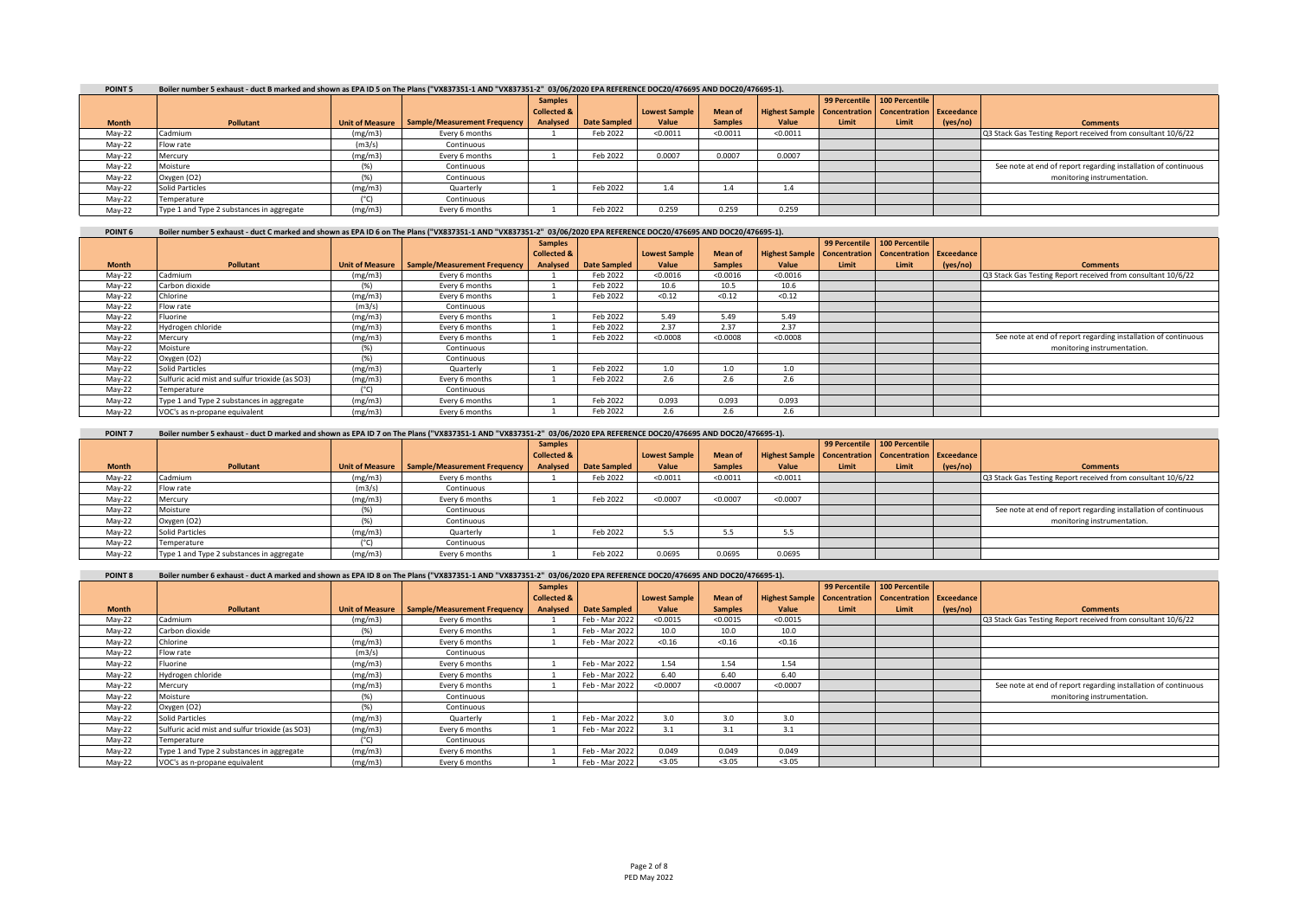| POINT <sub>5</sub> |                                           | Boiler number 5 exhaust - duct B marked and shown as EPA ID 5 on The Plans ("VX837351-1 AND "VX837351-2" 03/06/2020 EPA REFERENCE DOC20/476695 AND DOC20/476695-1). |                                                |                        |              |                      |                |                                                                      |       |                              |          |                                                                |  |
|--------------------|-------------------------------------------|---------------------------------------------------------------------------------------------------------------------------------------------------------------------|------------------------------------------------|------------------------|--------------|----------------------|----------------|----------------------------------------------------------------------|-------|------------------------------|----------|----------------------------------------------------------------|--|
|                    |                                           |                                                                                                                                                                     |                                                | <b>Samples</b>         |              |                      |                |                                                                      |       | 99 Percentile 100 Percentile |          |                                                                |  |
|                    |                                           |                                                                                                                                                                     |                                                | <b>Collected &amp;</b> |              | <b>Lowest Sample</b> | <b>Mean of</b> | <b>Highest Sample   Concentration   Concentration   Exceedance  </b> |       |                              |          |                                                                |  |
| <b>Month</b>       | Pollutant                                 |                                                                                                                                                                     | Unit of Measure   Sample/Measurement Frequency | Analysed               | Date Sampled | Value                | <b>Samples</b> | Value                                                                | Limit | Limit                        | (yes/no) | <b>Comments</b>                                                |  |
| May-22             | Cadmium                                   | (mg/m3)                                                                                                                                                             | Every 6 months                                 |                        | Feb 2022     | < 0.0011             | < 0.0011       | < 0.0011                                                             |       |                              |          | Q3 Stack Gas Testing Report received from consultant 10/6/22   |  |
| May-22             | Flow rate                                 | (m3/s)                                                                                                                                                              | Continuous                                     |                        |              |                      |                |                                                                      |       |                              |          |                                                                |  |
| May-22             | Mercury                                   | (mg/m3)                                                                                                                                                             | Every 6 months                                 |                        | Feb 2022     | 0.0007               | 0.0007         | 0.0007                                                               |       |                              |          |                                                                |  |
| May-22             | Moisture                                  |                                                                                                                                                                     | Continuous                                     |                        |              |                      |                |                                                                      |       |                              |          | See note at end of report regarding installation of continuous |  |
| May-22             | Oxygen (O2)                               |                                                                                                                                                                     | Continuous                                     |                        |              |                      |                |                                                                      |       |                              |          | monitoring instrumentation.                                    |  |
| May-22             | Solid Particles                           | (mg/m3)                                                                                                                                                             | Quarterly                                      |                        | Feb 2022     |                      |                | 1.4                                                                  |       |                              |          |                                                                |  |
| $May-22$           | Temperature                               |                                                                                                                                                                     | Continuous                                     |                        |              |                      |                |                                                                      |       |                              |          |                                                                |  |
| May-22             | Type 1 and Type 2 substances in aggregate | (mg/m3)                                                                                                                                                             | Every 6 months                                 |                        | Feb 2022     | 0.259                | 0.259          | 0.259                                                                |       |                              |          |                                                                |  |

| POINT <sub>6</sub> | Boiler number 5 exhaust - duct C marked and shown as EPA ID 6 on The Plans ("VX837351-1 AND "VX837351-2" 03/06/2020 EPA REFERENCE DOC20/476695 AND DOC20/476695-1). |  |  |  |  |
|--------------------|---------------------------------------------------------------------------------------------------------------------------------------------------------------------|--|--|--|--|
|                    |                                                                                                                                                                     |  |  |  |  |

|              |                                                 |               |                                                | <b>Samples</b>         |                     |                      |                |                                                             |       | 99 Percentile   100 Percentile |          |                                                                |
|--------------|-------------------------------------------------|---------------|------------------------------------------------|------------------------|---------------------|----------------------|----------------|-------------------------------------------------------------|-------|--------------------------------|----------|----------------------------------------------------------------|
|              |                                                 |               |                                                | <b>Collected &amp;</b> |                     | <b>Lowest Sample</b> | Mean of        | Highest Sample   Concentration   Concentration   Exceedance |       |                                |          |                                                                |
| <b>Month</b> | <b>Pollutant</b>                                |               | Unit of Measure   Sample/Measurement Frequency | Analysed               | <b>Date Sampled</b> | Value                | <b>Samples</b> | Value                                                       | Limit | Limit                          | (yes/no) | <b>Comments</b>                                                |
| May-22       | Cadmium                                         | (mg/m3)       | Every 6 months                                 |                        | Feb 2022            | < 0.0016             | < 0.0016       | < 0.0016                                                    |       |                                |          | Q3 Stack Gas Testing Report received from consultant 10/6/22   |
| May-22       | Carbon dioxide                                  | (96)          | Every 6 months                                 |                        | Feb 2022            | 10.6                 | 10.5           | 10.6                                                        |       |                                |          |                                                                |
| May-22       | Chlorine                                        | (mg/m3)       | Every 6 months                                 |                        | Feb 2022            | < 0.12               | < 0.12         | < 0.12                                                      |       |                                |          |                                                                |
| May-22       | Flow rate                                       | (m3/s)        | Continuous                                     |                        |                     |                      |                |                                                             |       |                                |          |                                                                |
| May-22       | Fluorine                                        | (mg/m3)       | Every 6 months                                 |                        | Feb 2022            | 5.49                 | 5.49           | 5.49                                                        |       |                                |          |                                                                |
| May-22       | Hydrogen chloride                               | (mg/m3)       | Every 6 months                                 |                        | Feb 2022            | 2.37                 | 2.37           | 2.37                                                        |       |                                |          |                                                                |
| May-22       | Mercury                                         | (mg/m3)       | Every 6 months                                 |                        | Feb 2022            | < 0.0008             | < 0.0008       | < 0.0008                                                    |       |                                |          | See note at end of report regarding installation of continuous |
| May-22       | Moisture                                        | (% )          | Continuous                                     |                        |                     |                      |                |                                                             |       |                                |          | monitoring instrumentation.                                    |
| May-22       | Oxygen (O2)                                     | (96)          | Continuous                                     |                        |                     |                      |                |                                                             |       |                                |          |                                                                |
| May-22       | <b>Solid Particles</b>                          | (mg/m3)       | Quarterly                                      |                        | Feb 2022            | 1.0                  | 1.0            | 1.0                                                         |       |                                |          |                                                                |
| May-22       | Sulfuric acid mist and sulfur trioxide (as SO3) | (mg/m3)       | Every 6 months                                 |                        | Feb 2022            | 2.6                  | 2.6            | 2.6                                                         |       |                                |          |                                                                |
| May-22       | Temperature                                     | $(^{\circ}C)$ | Continuous                                     |                        |                     |                      |                |                                                             |       |                                |          |                                                                |
| May-22       | Type 1 and Type 2 substances in aggregate       | (mg/m3)       | Every 6 months                                 |                        | Feb 2022            | 0.093                | 0.093          | 0.093                                                       |       |                                |          |                                                                |
| Mav-22       | VOC's as n-propane equivalent                   | (mg/m3)       | Every 6 months                                 |                        | Feb 2022            | 2.6                  | 2.6            | 2.6                                                         |       |                                |          |                                                                |

| POINT <sub>7</sub> | Boiler number 5 exhaust - duct D marked and shown as EPA ID 7 on The Plans ("VX837351-1 AND "VX837351-2" 03/06/2020 EPA REFERENCE DOC20/476695 AND DOC20/476695-1). |         |                                                |                        |              |               |                |                                                             |       |                              |          |                                                                |
|--------------------|---------------------------------------------------------------------------------------------------------------------------------------------------------------------|---------|------------------------------------------------|------------------------|--------------|---------------|----------------|-------------------------------------------------------------|-------|------------------------------|----------|----------------------------------------------------------------|
|                    |                                                                                                                                                                     |         |                                                | <b>Samples</b>         |              |               |                |                                                             |       | 99 Percentile 100 Percentile |          |                                                                |
|                    |                                                                                                                                                                     |         |                                                | <b>Collected &amp;</b> |              | Lowest Sample | <b>Mean of</b> | Highest Sample   Concentration   Concentration   Exceedance |       |                              |          |                                                                |
| <b>Month</b>       | Pollutant                                                                                                                                                           |         | Unit of Measure   Sample/Measurement Frequency | Analysed               | Date Sampled | Value         | <b>Samples</b> | Value                                                       | Limit | Limit                        | (yes/no) | <b>Comments</b>                                                |
| May-22             | Cadmium                                                                                                                                                             | (mg/m3) | Every 6 months                                 |                        | Feb 2022     | < 0.0011      | < 0.0011       | < 0.0011                                                    |       |                              |          | Q3 Stack Gas Testing Report received from consultant 10/6/22   |
| May-22             | Flow rate                                                                                                                                                           | (m3/s)  | Continuous                                     |                        |              |               |                |                                                             |       |                              |          |                                                                |
| May-22             | Mercury                                                                                                                                                             | (mg/m3) | Every 6 months                                 |                        | Feb 2022     | < 0.0007      | < 0.0007       | < 0.0007                                                    |       |                              |          |                                                                |
| May-22             | Moisture                                                                                                                                                            |         | Continuous                                     |                        |              |               |                |                                                             |       |                              |          | See note at end of report regarding installation of continuous |
| May-22             | Oxygen (O2)                                                                                                                                                         |         | Continuous                                     |                        |              |               |                |                                                             |       |                              |          | monitoring instrumentation.                                    |
| May-22             | Solid Particles                                                                                                                                                     | (mg/m3) | Quarterly                                      |                        | Feb 2022     |               | 5.5            | 5.5                                                         |       |                              |          |                                                                |
| May-22             | Temperature                                                                                                                                                         |         | Continuous                                     |                        |              |               |                |                                                             |       |                              |          |                                                                |
| Mav-22             | Type 1 and Type 2 substances in aggregate                                                                                                                           | (mg/m3) | Every 6 months                                 |                        | Feb 2022     | 0.0695        | 0.0695         | 0.0695                                                      |       |                              |          |                                                                |

| POINT <sub>8</sub> | Boiler number 6 exhaust - duct A marked and shown as EPA ID 8 on The Plans ("VX837351-1 AND "VX837351-2" 03/06/2020 EPA REFERENCE DOC20/476695 AND DOC20/476695-1). |  |
|--------------------|---------------------------------------------------------------------------------------------------------------------------------------------------------------------|--|

|              |                                                 |                        |                              | <b>Samples</b>         |                     |                      |                |                                                             |       | 99 Percentile 100 Percentile |          |                                                                |
|--------------|-------------------------------------------------|------------------------|------------------------------|------------------------|---------------------|----------------------|----------------|-------------------------------------------------------------|-------|------------------------------|----------|----------------------------------------------------------------|
|              |                                                 |                        |                              | <b>Collected &amp;</b> |                     | <b>Lowest Sample</b> | <b>Mean of</b> | Highest Sample   Concentration   Concentration   Exceedance |       |                              |          |                                                                |
| <b>Month</b> | Pollutant                                       | <b>Unit of Measure</b> | Sample/Measurement Frequency | Analysed               | <b>Date Sampled</b> | Value                | <b>Samples</b> | Value                                                       | Limit | Limit                        | (yes/no) | <b>Comments</b>                                                |
| May-22       | Cadmium                                         | (mg/m3)                | Every 6 months               |                        | Feb - Mar 2022      | < 0.0015             | < 0.0015       | < 0.0015                                                    |       |                              |          | Q3 Stack Gas Testing Report received from consultant 10/6/22   |
| May-22       | Carbon dioxide                                  | (% )                   | Every 6 months               |                        | Feb - Mar 2022      | 10.0                 | 10.0           | 10.0                                                        |       |                              |          |                                                                |
| May-22       | Chlorine                                        | (mg/m3)                | Every 6 months               |                        | Feb - Mar 2022      | < 0.16               | < 0.16         | < 0.16                                                      |       |                              |          |                                                                |
| May-22       | Flow rate                                       | (m3/s)                 | Continuous                   |                        |                     |                      |                |                                                             |       |                              |          |                                                                |
| May-22       | Fluorine                                        | (mg/m3)                | Every 6 months               |                        | Feb - Mar 2022      | 1.54                 | 1.54           | 1.54                                                        |       |                              |          |                                                                |
| May-22       | Hydrogen chloride                               | (mg/m3)                | Every 6 months               |                        | Feb - Mar 2022      | 6.40                 | 6.40           | 6.40                                                        |       |                              |          |                                                                |
| May-22       | Mercury                                         | (mg/m3)                | Every 6 months               |                        | Feb - Mar 2022      | < 0.0007             | < 0.0007       | < 0.0007                                                    |       |                              |          | See note at end of report regarding installation of continuous |
| May-22       | Moisture                                        | (% )                   | Continuous                   |                        |                     |                      |                |                                                             |       |                              |          | monitoring instrumentation.                                    |
| May-22       | Oxygen (O2)                                     | (% )                   | Continuous                   |                        |                     |                      |                |                                                             |       |                              |          |                                                                |
| May-22       | <b>Solid Particles</b>                          | (mg/m3)                | Quarterly                    |                        | Feb - Mar 2022      | 3.0                  | 3.0            | 3.0                                                         |       |                              |          |                                                                |
| May-22       | Sulfuric acid mist and sulfur trioxide (as SO3) | (mg/m3)                | Every 6 months               |                        | Feb - Mar 2022      | 3.1                  | 3.1            | 3.1                                                         |       |                              |          |                                                                |
| May-22       | Temperature                                     | $(^{\circ}C)$          | Continuous                   |                        |                     |                      |                |                                                             |       |                              |          |                                                                |
| May-22       | Type 1 and Type 2 substances in aggregate       | (mg/m3)                | Every 6 months               |                        | Feb - Mar 2022      | 0.049                | 0.049          | 0.049                                                       |       |                              |          |                                                                |
| $May-22$     | VOC's as n-propane equivalent                   | (mg/m3)                | Every 6 months               |                        | Feb - Mar 2022      | < 3.05               | < 3.05         | < 3.05                                                      |       |                              |          |                                                                |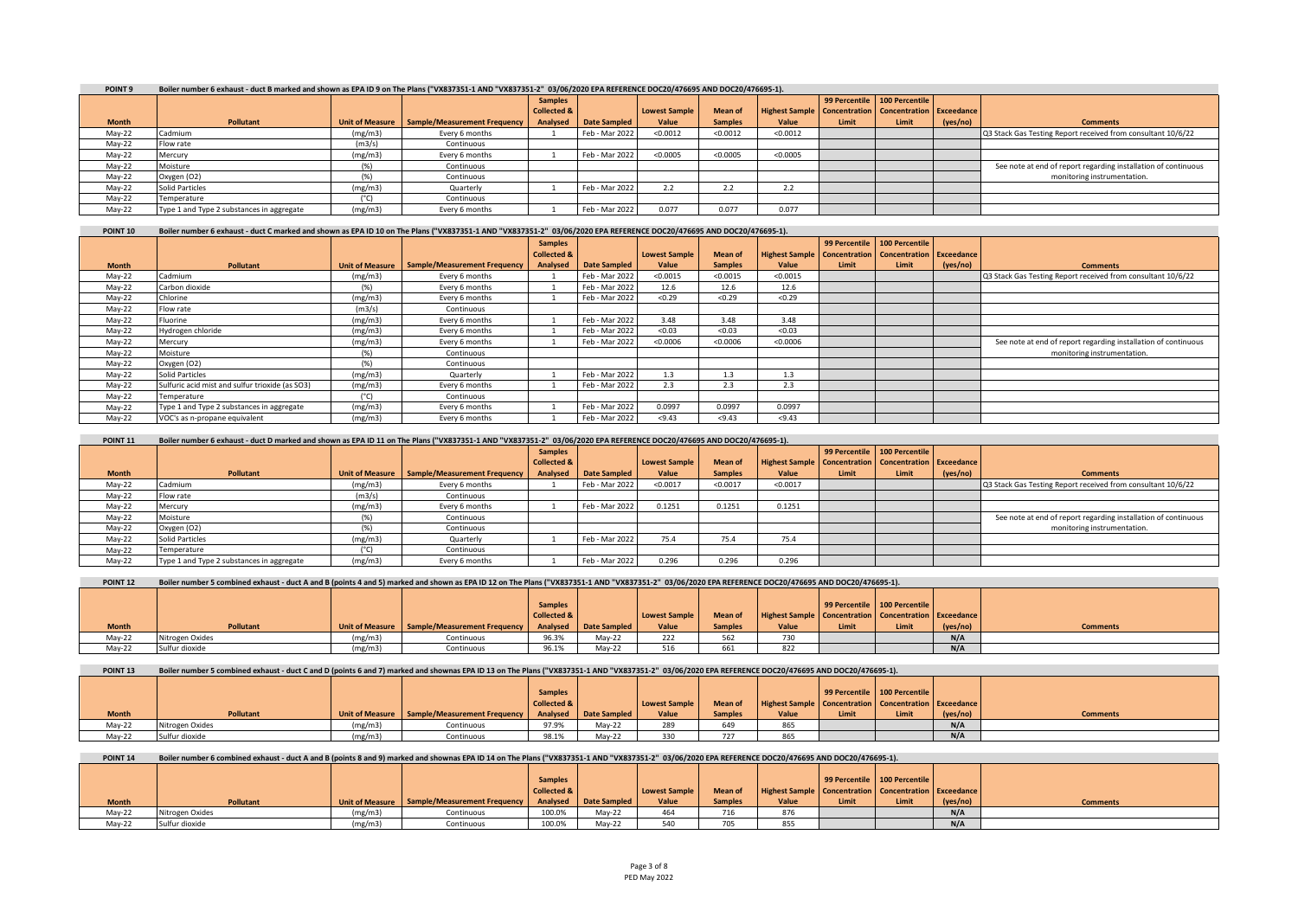| POINT <sub>9</sub> |                                           | Boiler number 6 exhaust - duct B marked and shown as EPA ID 9 on The Plans ("VX837351-1 AND "VX837351-2" 03/06/2020 EPA REFERENCE DOC20/476695 AND DOC20/476695-1). |                                              |                        |                     |               |                     |                                                             |       |                              |          |                                                                |  |
|--------------------|-------------------------------------------|---------------------------------------------------------------------------------------------------------------------------------------------------------------------|----------------------------------------------|------------------------|---------------------|---------------|---------------------|-------------------------------------------------------------|-------|------------------------------|----------|----------------------------------------------------------------|--|
|                    |                                           |                                                                                                                                                                     |                                              | <b>Samples</b>         |                     |               |                     |                                                             |       | 99 Percentile 100 Percentile |          |                                                                |  |
|                    |                                           |                                                                                                                                                                     |                                              | <b>Collected &amp;</b> |                     | Lowest Sample | <b>Mean of</b>      | Highest Sample   Concentration   Concentration   Exceedance |       |                              |          |                                                                |  |
| <b>Month</b>       | <b>Pollutant</b>                          |                                                                                                                                                                     | Unit of Measure Sample/Measurement Frequency | Analysed               | <b>Date Sampled</b> | Value         | <b>Samples</b>      | Value                                                       | Limit | Limit                        | (yes/no) | <b>Comments</b>                                                |  |
| May-22             | Cadmium                                   | (mg/m3)                                                                                                                                                             | Every 6 months                               |                        | Feb - Mar 2022      | < 0.0012      | < 0.0012            | < 0.0012                                                    |       |                              |          | Q3 Stack Gas Testing Report received from consultant 10/6/22   |  |
| May-22             | Flow rate                                 | (m3/s)                                                                                                                                                              | Continuous                                   |                        |                     |               |                     |                                                             |       |                              |          |                                                                |  |
| May-22             | Mercury                                   | (mg/m3)                                                                                                                                                             | Every 6 months                               |                        | Feb - Mar 2022      | < 0.0005      | < 0.0005            | < 0.0005                                                    |       |                              |          |                                                                |  |
| May-22             | Moisture                                  |                                                                                                                                                                     | Continuous                                   |                        |                     |               |                     |                                                             |       |                              |          | See note at end of report regarding installation of continuous |  |
| May-22             | Oxygen (O2)                               |                                                                                                                                                                     | Continuous                                   |                        |                     |               |                     |                                                             |       |                              |          | monitoring instrumentation.                                    |  |
| Mav-22             | Solid Particles                           | (mg/m3)                                                                                                                                                             | Quarterly                                    |                        | Feb - Mar 2022      |               | $\prime$ . $\prime$ | 2.2                                                         |       |                              |          |                                                                |  |
| May-22             | Temperature                               | $(^{\circ}C)$                                                                                                                                                       | Continuous                                   |                        |                     |               |                     |                                                             |       |                              |          |                                                                |  |
| Mav-22             | Type 1 and Type 2 substances in aggregate | (mg/m3)                                                                                                                                                             | Every 6 months                               |                        | Feb - Mar 2022      | 0.077         | 0.077               | 0.077                                                       |       |                              |          |                                                                |  |

| POINT 10 | Boiler number 6 exhaust - duct C marked and shown as EPA ID 10 on The Plans ("VX837351-1 AND "VX837351-2" 03/06/2020 EPA REFERENCE DOC20/476695 AND DOC20/476695-1). |
|----------|----------------------------------------------------------------------------------------------------------------------------------------------------------------------|
|          |                                                                                                                                                                      |

|              |                                                 |               |                                                | <b>Samples</b>         |                |                      |                |                                                                    |       | 99 Percentile   100 Percentile |          |                                                                |
|--------------|-------------------------------------------------|---------------|------------------------------------------------|------------------------|----------------|----------------------|----------------|--------------------------------------------------------------------|-------|--------------------------------|----------|----------------------------------------------------------------|
|              |                                                 |               |                                                | <b>Collected &amp;</b> |                | <b>Lowest Sample</b> | <b>Mean of</b> | <b>Highest Sample   Concentration   Concentration   Exceedance</b> |       |                                |          |                                                                |
| <b>Month</b> | <b>Pollutant</b>                                |               | Unit of Measure   Sample/Measurement Frequency | Analysed               | Date Sampled   | Value                | <b>Samples</b> | Value                                                              | Limit | Limit                          | (yes/no) | <b>Comments</b>                                                |
| May-22       | Cadmium                                         | (mg/m3)       | Every 6 months                                 |                        | Feb - Mar 2022 | < 0.0015             | < 0.0015       | < 0.0015                                                           |       |                                |          | Q3 Stack Gas Testing Report received from consultant 10/6/22   |
| May-22       | Carbon dioxide                                  | $(\%)$        | Every 6 months                                 |                        | Feb - Mar 2022 | 12.6                 | 12.6           | 12.6                                                               |       |                                |          |                                                                |
| May-22       | Chlorine                                        | (mg/m3)       | Every 6 months                                 |                        | Feb - Mar 2022 | < 0.29               | < 0.29         | < 0.29                                                             |       |                                |          |                                                                |
| May-22       | Flow rate                                       | (m3/s)        | Continuous                                     |                        |                |                      |                |                                                                    |       |                                |          |                                                                |
| May-22       | Fluorine                                        | (mg/m3)       | Every 6 months                                 |                        | Feb - Mar 2022 | 3.48                 | 3.48           | 3.48                                                               |       |                                |          |                                                                |
| May-22       | Hydrogen chloride                               | (mg/m3)       | Every 6 months                                 |                        | Feb - Mar 2022 | < 0.03               | < 0.03         | < 0.03                                                             |       |                                |          |                                                                |
| May-22       | Mercury                                         | (mg/m3)       | Every 6 months                                 |                        | Feb - Mar 2022 | < 0.0006             | < 0.0006       | < 0.0006                                                           |       |                                |          | See note at end of report regarding installation of continuous |
| May-22       | Moisture                                        | $(\%)$        | Continuous                                     |                        |                |                      |                |                                                                    |       |                                |          | monitoring instrumentation.                                    |
| May-22       | Oxygen (O2)                                     | (% )          | Continuous                                     |                        |                |                      |                |                                                                    |       |                                |          |                                                                |
| May-22       | <b>Solid Particles</b>                          | (mg/m3)       | Quarterly                                      |                        | Feb - Mar 2022 | 1.3                  | 1.3            | 1.3                                                                |       |                                |          |                                                                |
| May-22       | Sulfuric acid mist and sulfur trioxide (as SO3) | (mg/m3)       | Every 6 months                                 |                        | Feb - Mar 2022 | 2.3                  | 2.3            | 2.3                                                                |       |                                |          |                                                                |
| May-22       | Temperature                                     | $(^{\circ}C)$ | Continuous                                     |                        |                |                      |                |                                                                    |       |                                |          |                                                                |
| May-22       | Type 1 and Type 2 substances in aggregate       | (mg/m3)       | Every 6 months                                 |                        | Feb - Mar 2022 | 0.0997               | 0.0997         | 0.0997                                                             |       |                                |          |                                                                |
| Mav-22       | VOC's as n-propane equivalent                   | (mg/m3)       | Every 6 months                                 |                        | Feb - Mar 2022 | < 9.43               | < 9.43         | < 9.43                                                             |       |                                |          |                                                                |

**POINT 11 Boiler number 6 exhaust - duct D marked and shown as EPA ID 11 on The Plans ("VX837351-1 AND "VX837351-2" 03/06/2020 EPA REFERENCE DOC20/476695 AND DOC20/476695-1).**

|              |                                           |         |                                                | <b>Samples</b>         |                |                      |                |                                                             |       | 99 Percentile 100 Percentile |          |                                                                |
|--------------|-------------------------------------------|---------|------------------------------------------------|------------------------|----------------|----------------------|----------------|-------------------------------------------------------------|-------|------------------------------|----------|----------------------------------------------------------------|
|              |                                           |         |                                                | <b>Collected &amp;</b> |                | <b>Lowest Sample</b> | <b>Mean of</b> | Highest Sample   Concentration   Concentration   Exceedance |       |                              |          |                                                                |
| <b>Month</b> | <b>Pollutant</b>                          |         | Unit of Measure   Sample/Measurement Frequency | <b>Analysed</b>        | Date Sampled   | Value                | <b>Samples</b> | Value                                                       | Limit | Limit                        | (yes/no) | <b>Comments</b>                                                |
| May-22       | Cadmium                                   | (mg/m3) | Every 6 months                                 |                        | Feb - Mar 2022 | < 0.0017             | < 0.0017       | < 0.0017                                                    |       |                              |          | Q3 Stack Gas Testing Report received from consultant 10/6/22   |
| May-22       | Flow rate                                 | (m3/s)  | Continuous                                     |                        |                |                      |                |                                                             |       |                              |          |                                                                |
| May-22       | Mercury                                   | (mg/m3) | Every 6 months                                 |                        | Feb - Mar 2022 | 0.1251               | 0.1251         | 0.1251                                                      |       |                              |          |                                                                |
| May-22       | Moisture                                  |         | Continuous                                     |                        |                |                      |                |                                                             |       |                              |          | See note at end of report regarding installation of continuous |
| May-22       | Oxygen (O2)                               |         | Continuous                                     |                        |                |                      |                |                                                             |       |                              |          | monitoring instrumentation.                                    |
| May-22       | Solid Particles                           | (mg/m3) | Quarterly                                      |                        | Feb - Mar 2022 | 75.4                 | 75.4           | 75.4                                                        |       |                              |          |                                                                |
| May-22       | Temperature                               |         | Continuous                                     |                        |                |                      |                |                                                             |       |                              |          |                                                                |
| Mav-22       | Type 1 and Type 2 substances in aggregate | (mg/m3) | Every 6 months                                 |                        | Feb - Mar 2022 | 0.296                | 0.296          | 0.296                                                       |       |                              |          |                                                                |

| POINT <sub>12</sub> |  |  |  | Boiler number 5 combined exhaust - duct A and B (points 4 and 5) marked and shown as EPA ID 12 on The Plans ("VX837351-1 AND "VX837351-2" 03/06/2020 EPA REFERENCE DOC20/476695 AND DOC20/476695-1). |
|---------------------|--|--|--|------------------------------------------------------------------------------------------------------------------------------------------------------------------------------------------------------|
|---------------------|--|--|--|------------------------------------------------------------------------------------------------------------------------------------------------------------------------------------------------------|

|              |                        |         |                                                                          | <b>Samples</b>         |        |                      |                |                                                             |       | 99 Percentile   100 Percentile |          |                 |
|--------------|------------------------|---------|--------------------------------------------------------------------------|------------------------|--------|----------------------|----------------|-------------------------------------------------------------|-------|--------------------------------|----------|-----------------|
|              |                        |         |                                                                          | <b>Collected &amp;</b> |        | <b>Lowest Sample</b> | <b>Mean of</b> | Highest Sample   Concentration   Concentration   Exceedance |       |                                |          |                 |
| <b>Month</b> | <b>Pollutant</b>       |         | Unit of Measure   Sample/Measurement Frequency   Analysed   Date Sampled |                        |        | Value                | <b>Samples</b> | Value                                                       | Limit | Limit                          | (yes/no) | <b>Comments</b> |
| Mav-22       | <b>Vitrogen Oxides</b> | (mg/m3) | Continuous                                                               | 96.3%                  | Mav-22 | 222                  | 562            | $\overline{\phantom{a}}$<br>750                             |       |                                | N/A      |                 |
| May-22       | Sulfur dioxide         | (mg/m3) | Continuous                                                               | 96.1%                  | Mav-22 | 516                  | 661            | 822                                                         |       |                                | N/A      |                 |

| <b>POINT 13</b> | Boiler number 5 combined exhaust - duct C and D (points 6 and 7) marked and shownas EPA ID 13 on The Plans ("VX837351-1 AND "VX837351-2" 03/06/2020 EPA REFERENCE DOC20/476695 AND DOC20/476695-1). |         |                                                |             |                         |               |                |                                                             |                                |       |          |                 |  |
|-----------------|-----------------------------------------------------------------------------------------------------------------------------------------------------------------------------------------------------|---------|------------------------------------------------|-------------|-------------------------|---------------|----------------|-------------------------------------------------------------|--------------------------------|-------|----------|-----------------|--|
|                 |                                                                                                                                                                                                     |         |                                                |             |                         |               |                |                                                             |                                |       |          |                 |  |
|                 |                                                                                                                                                                                                     |         |                                                | Samples     |                         |               |                |                                                             | 99 Percentile   100 Percentile |       |          |                 |  |
|                 |                                                                                                                                                                                                     |         |                                                | Collected & |                         | Lowest Sample | <b>Mean of</b> | Highest Sample   Concentration   Concentration   Exceedance |                                |       |          |                 |  |
| <b>Month</b>    | Pollutant                                                                                                                                                                                           |         | Unit of Measure   Sample/Measurement Frequency |             | Analysed   Date Sampled | Value         | <b>Samples</b> | Value                                                       | Limit                          | Limit | (yes/no) | <b>Comments</b> |  |
| Mav-22          | Nitrogen Oxides                                                                                                                                                                                     | (mg/m3) | Continuous                                     | 97.9%       | Mav-22                  | 289           |                | 865                                                         |                                |       | N/A      |                 |  |
| Mav-22          | Sulfur dioxide                                                                                                                                                                                      | (mg/m3) | Continuous                                     | 98.1%       | Mav-22                  | 330           | 737            | 865                                                         |                                |       | N/A      |                 |  |

### POINT 14 Boiler number 6 combined exhaust - duct A and B (points 8 and 9) marked and shownas EPA ID 14 on The Plans ("VX837351-1 AND "VX837351-2" 03/06/2020 EPA REFERENCE DOC20/476695 AND DOC20/476695-1).

|              |                  |         |                                                                    | <b>Samples</b> |        |               |                        |                                                             | 99 Percentile 100 Percentile |       |          |                 |
|--------------|------------------|---------|--------------------------------------------------------------------|----------------|--------|---------------|------------------------|-------------------------------------------------------------|------------------------------|-------|----------|-----------------|
|              |                  |         |                                                                    | Collected &    |        | Lowest Sample | <b>Mean of</b>         | Highest Sample   Concentration   Concentration   Exceedance |                              |       |          |                 |
| <b>Month</b> | <b>Pollutant</b> |         | Unit of Measure Sample/Measurement Frequency Analysed Date Sampled |                |        | Value         | <b>Samples</b>         | Value                                                       | Limit                        | Limit | (yes/no) | <b>Comments</b> |
| Mav-22       | Nitrogen Oxides  | (mg/m3) | Continuous                                                         | 100.0%         | Mav-22 |               | $-1$<br>ں 1 ر          | 876                                                         |                              |       | N/A      |                 |
| May-22       | Sulfur dioxide   | (mg/m3) | Continuous                                                         | 100.0%         | Mav-22 | <b>EAO</b>    | $\sim$ $\sim$<br>, , , | 855                                                         |                              |       | N/A      |                 |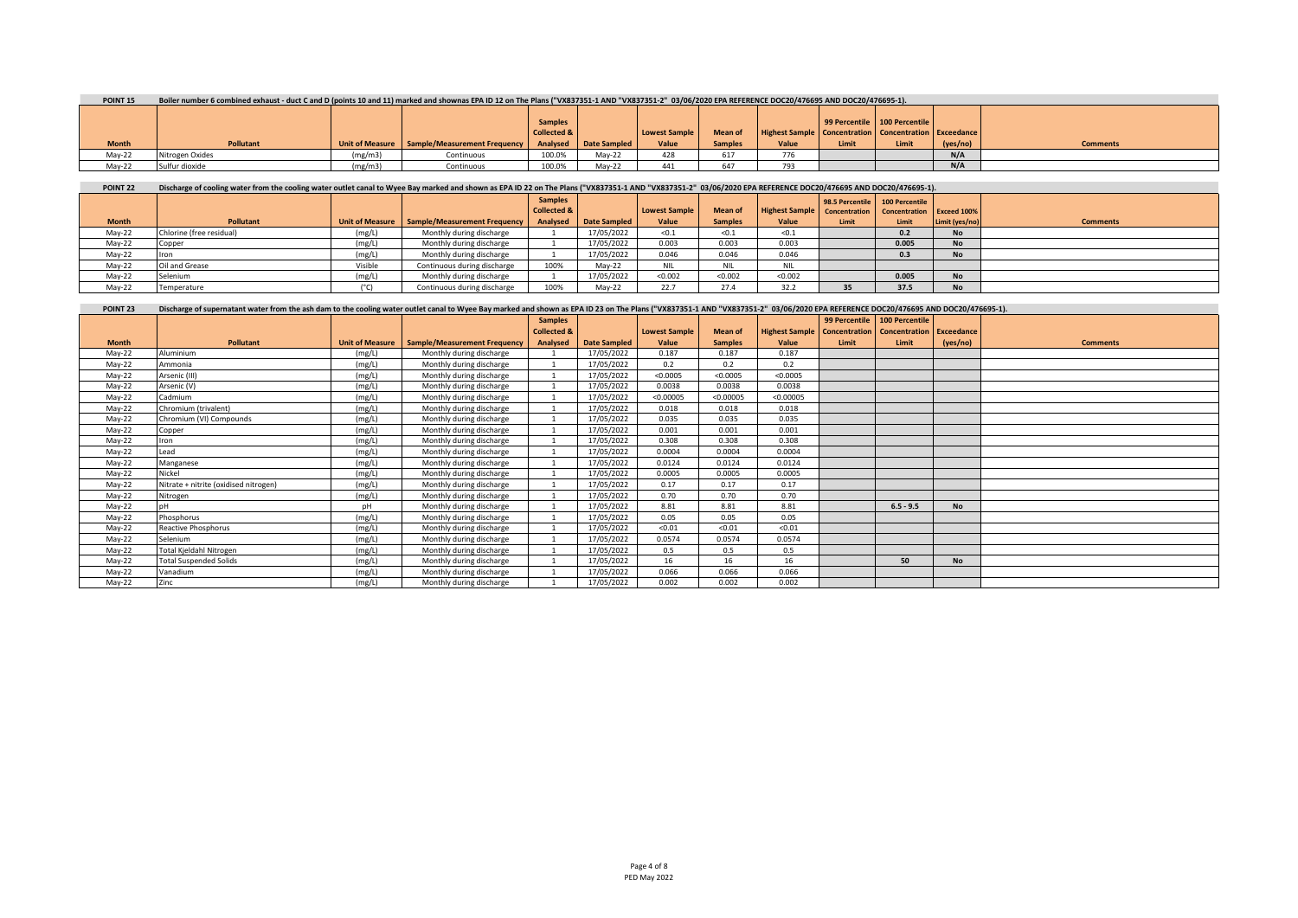| POINT <sub>15</sub> | Boiler number 6 combined exhaust - duct C and D (points 10 and 11) marked and shownas EPA ID 12 on The Plans ("VX837351-1 AND "VX837351-2" 03/06/2020 EPA REFERENCE DOC20/476695 AND DOC20/476695-1). |  |  |  |  |
|---------------------|-------------------------------------------------------------------------------------------------------------------------------------------------------------------------------------------------------|--|--|--|--|
|                     |                                                                                                                                                                                                       |  |  |  |  |
|                     |                                                                                                                                                                                                       |  |  |  |  |

|              |                  |                                   |                                                                    | <b>Samples</b><br><b>Collected &amp;</b> |        | Lowest Sample | <b>Mean of</b> | Highest Sample   Concentration   Concentration   Exceedance |       | 99 Percentile   100 Percentile |          |                 |
|--------------|------------------|-----------------------------------|--------------------------------------------------------------------|------------------------------------------|--------|---------------|----------------|-------------------------------------------------------------|-------|--------------------------------|----------|-----------------|
| <b>Month</b> | <b>Pollutant</b> |                                   | Unit of Measure Sample/Measurement Frequency Analysed Date Sampled |                                          |        | Value         | <b>Samples</b> | Value                                                       | Limit | Limit                          | (ves/no) | <b>Comments</b> |
| $May-22$     | Nitrogen Oxides  | (m <sub>g</sub> /m <sub>3</sub> ) | Continuous                                                         | 100.0%                                   | Mav-22 | 428           | 617            | $- -$                                                       |       |                                | N/A      |                 |
| May-22       | Sulfur dioxide   | (m <sub>g</sub> /m <sub>3</sub> ) | Continuous                                                         | 100.0%                                   | Mav-22 | AA1<br>441    | 647            | 793                                                         |       |                                | N/A      |                 |

## POINT 22 Discharge of cooling water from the cooling water outlet canal to Wyee Bay marked and shown as EPA ID 22 on The Plans ("VX837351-1 AND "VX837351-2" 03/06/2020 EPA REFERENCE DOC20/476695 AND DOC20/476695-1).

|              |                          |         |                                                | <b>Samples</b><br>Collected & |              | <b>Lowest Sample</b> | <b>Mean of</b> | Highest Sample   Concentration   Concentration   Exceed 100% |       | 98.5 Percentile 100 Percentile |                |                 |
|--------------|--------------------------|---------|------------------------------------------------|-------------------------------|--------------|----------------------|----------------|--------------------------------------------------------------|-------|--------------------------------|----------------|-----------------|
| <b>Month</b> | <b>Pollutant</b>         |         | Unit of Measure   Sample/Measurement Frequency | Analysed                      | Date Sampled | Value                | <b>Samples</b> | Value                                                        | Limit | Limit                          | Limit (yes/no) | <b>Comments</b> |
| $May-22$     | Chlorine (free residual) | (mg/L)  | Monthly during discharge                       |                               | 17/05/2022   | < 0.1                | < 0.1          | < 0.1                                                        |       | 0.2                            | <b>No</b>      |                 |
| $May-22$     | Copper                   | (mg/L)  | Monthly during discharge                       |                               | 17/05/2022   | 0.003                | 0.003          | 0.003                                                        |       | 0.005                          | <b>No</b>      |                 |
| May-22       |                          | (mg/L)  | Monthly during discharge                       |                               | 17/05/2022   | 0.046                | 0.046          | 0.046                                                        |       | 0.3                            | <b>No</b>      |                 |
| $May-22$     | Oil and Grease           | Visible | Continuous during discharge                    | 100%                          | Mav-22       | <b>NIL</b>           | NIL.           | NIL                                                          |       |                                |                |                 |
| $May-22$     | Selenium                 | (mg/L)  | Monthly during discharge                       |                               | 17/05/2022   | < 0.002              | < 0.002        | < 0.002                                                      |       | 0.005                          | <b>No</b>      |                 |
| $May-22$     | Temperature              |         | Continuous during discharge                    | 100%                          | Mav-22       | 22.7                 | 27.4           | 32.2                                                         | 35    | 37.5                           | <b>No</b>      |                 |

| <b>POINT 23</b> | Discharge of supernatant water from the ash dam to the cooling water outlet canal to Wyee Bay marked and shown as EPA ID 23 on The Plans ("VX837351-1 AND "VX837351-2" 03/06/2020 EPA REFERENCE DOC20/476695 AND DOC20/476695- |        |                                                |                        |                     |                      |                |                                                             |       |                              |           |                 |
|-----------------|--------------------------------------------------------------------------------------------------------------------------------------------------------------------------------------------------------------------------------|--------|------------------------------------------------|------------------------|---------------------|----------------------|----------------|-------------------------------------------------------------|-------|------------------------------|-----------|-----------------|
|                 |                                                                                                                                                                                                                                |        |                                                | <b>Samples</b>         |                     |                      |                |                                                             |       | 99 Percentile 100 Percentile |           |                 |
|                 |                                                                                                                                                                                                                                |        |                                                | <b>Collected &amp;</b> |                     | <b>Lowest Sample</b> | <b>Mean of</b> | Highest Sample   Concentration   Concentration   Exceedance |       |                              |           |                 |
| <b>Month</b>    | Pollutant                                                                                                                                                                                                                      |        | Unit of Measure   Sample/Measurement Frequency | Analysed               | <b>Date Sampled</b> | Value                | <b>Samples</b> | Value                                                       | Limit | Limit                        | (yes/no)  | <b>Comments</b> |
| $May-22$        | Aluminium                                                                                                                                                                                                                      | (mg/L) | Monthly during discharge                       |                        | 17/05/2022          | 0.187                | 0.187          | 0.187                                                       |       |                              |           |                 |
| May-22          | Ammonia                                                                                                                                                                                                                        | (mg/L) | Monthly during discharge                       |                        | 17/05/2022          | 0.2                  | 0.2            | 0.2                                                         |       |                              |           |                 |
| May-22          | Arsenic (III)                                                                                                                                                                                                                  | (mg/L) | Monthly during discharge                       |                        | 17/05/2022          | < 0.0005             | < 0.0005       | < 0.0005                                                    |       |                              |           |                 |
| May-22          | Arsenic (V)                                                                                                                                                                                                                    | (mg/L) | Monthly during discharge                       |                        | 17/05/2022          | 0.0038               | 0.0038         | 0.0038                                                      |       |                              |           |                 |
| May-22          | Cadmium                                                                                                                                                                                                                        | (mg/L) | Monthly during discharge                       |                        | 17/05/2022          | < 0.00005            | < 0.00005      | < 0.00005                                                   |       |                              |           |                 |
| May-22          | Chromium (trivalent)                                                                                                                                                                                                           | (mg/L) | Monthly during discharge                       |                        | 17/05/2022          | 0.018                | 0.018          | 0.018                                                       |       |                              |           |                 |
| May-22          | Chromium (VI) Compounds                                                                                                                                                                                                        | (mg/L) | Monthly during discharge                       |                        | 17/05/2022          | 0.035                | 0.035          | 0.035                                                       |       |                              |           |                 |
| May-22          | Copper                                                                                                                                                                                                                         | (mg/L) | Monthly during discharge                       |                        | 17/05/2022          | 0.001                | 0.001          | 0.001                                                       |       |                              |           |                 |
| May-22          | Iron                                                                                                                                                                                                                           | (mg/L) | Monthly during discharge                       |                        | 17/05/2022          | 0.308                | 0.308          | 0.308                                                       |       |                              |           |                 |
| May-22          | Lead                                                                                                                                                                                                                           | (mg/L) | Monthly during discharge                       |                        | 17/05/2022          | 0.0004               | 0.0004         | 0.0004                                                      |       |                              |           |                 |
| May-22          | Manganese                                                                                                                                                                                                                      | (mg/L) | Monthly during discharge                       |                        | 17/05/2022          | 0.0124               | 0.0124         | 0.0124                                                      |       |                              |           |                 |
| May-22          | Nickel                                                                                                                                                                                                                         | (mg/L) | Monthly during discharge                       |                        | 17/05/2022          | 0.0005               | 0.0005         | 0.0005                                                      |       |                              |           |                 |
| May-22          | Nitrate + nitrite (oxidised nitrogen)                                                                                                                                                                                          | (mg/L) | Monthly during discharge                       |                        | 17/05/2022          | 0.17                 | 0.17           | 0.17                                                        |       |                              |           |                 |
| May-22          | Nitrogen                                                                                                                                                                                                                       | (mg/L) | Monthly during discharge                       |                        | 17/05/2022          | 0.70                 | 0.70           | 0.70                                                        |       |                              |           |                 |
| May-22          |                                                                                                                                                                                                                                | рH     | Monthly during discharge                       |                        | 17/05/2022          | 8.81                 | 8.81           | 8.81                                                        |       | $6.5 - 9.5$                  | <b>No</b> |                 |
| May-22          | Phosphorus                                                                                                                                                                                                                     | (mg/L) | Monthly during discharge                       |                        | 17/05/2022          | 0.05                 | 0.05           | 0.05                                                        |       |                              |           |                 |
| May-22          | Reactive Phosphorus                                                                                                                                                                                                            | (mg/L) | Monthly during discharge                       |                        | 17/05/2022          | < 0.01               | < 0.01         | < 0.01                                                      |       |                              |           |                 |
| May-22          | Selenium                                                                                                                                                                                                                       | (mg/L) | Monthly during discharge                       |                        | 17/05/2022          | 0.0574               | 0.0574         | 0.0574                                                      |       |                              |           |                 |
| $May-22$        | Total Kjeldahl Nitrogen                                                                                                                                                                                                        | (mg/L) | Monthly during discharge                       |                        | 17/05/2022          | 0.5                  | 0.5            | 0.5                                                         |       |                              |           |                 |
| May-22          | <b>Total Suspended Solids</b>                                                                                                                                                                                                  | (mg/L) | Monthly during discharge                       |                        | 17/05/2022          | 16                   | 16             | 16                                                          |       | 50                           | <b>No</b> |                 |
| $May-22$        | Vanadium                                                                                                                                                                                                                       | (mg/L) | Monthly during discharge                       |                        | 17/05/2022          | 0.066                | 0.066          | 0.066                                                       |       |                              |           |                 |
| May-22          | Zinc                                                                                                                                                                                                                           | (mg/L) | Monthly during discharge                       |                        | 17/05/2022          | 0.002                | 0.002          | 0.002                                                       |       |                              |           |                 |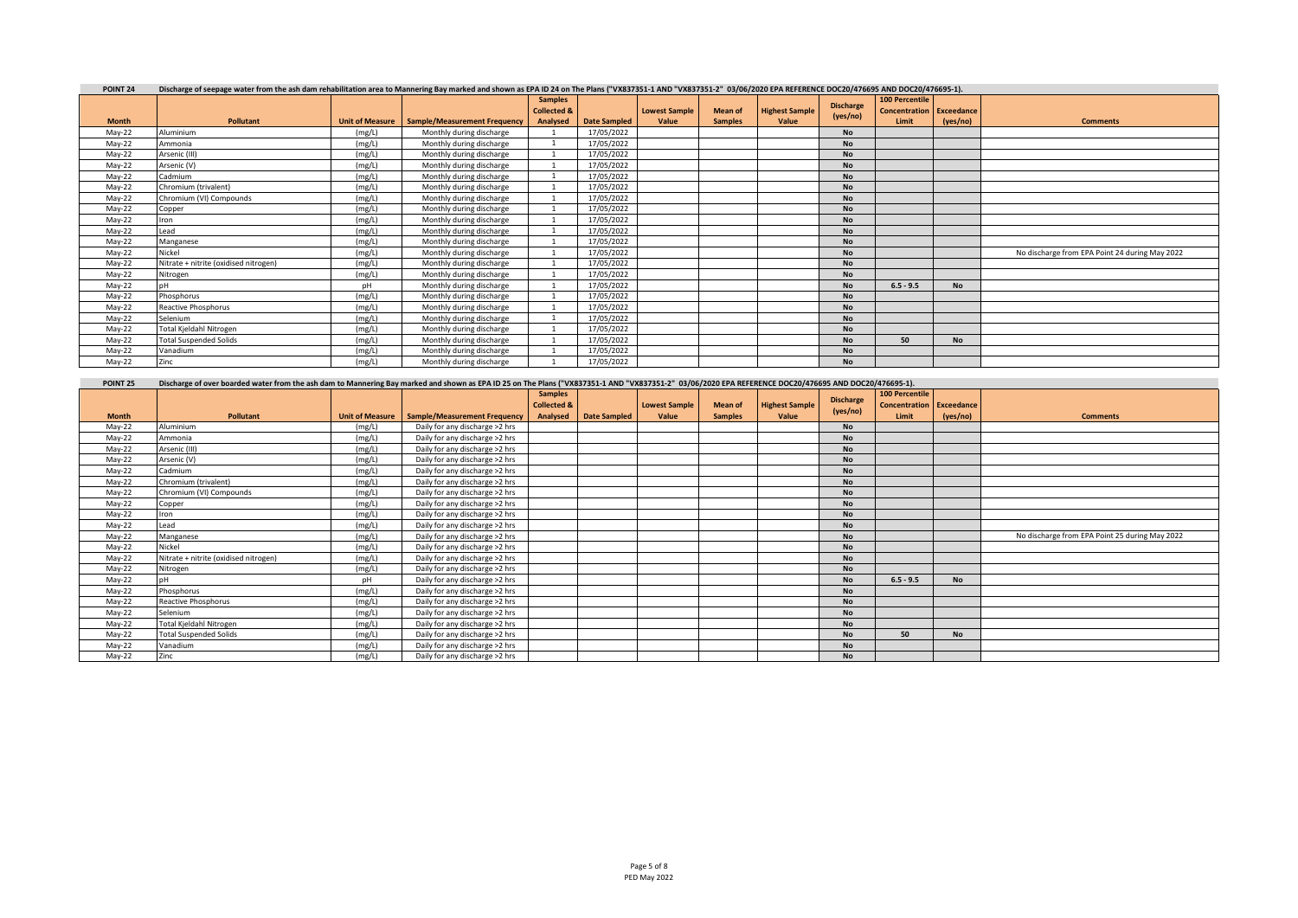| POINT <sub>24</sub> | Discharge of seepage water from the ash dam rehabilitation area to Mannering Bay marked and shown as EPA ID 24 on The Plans ("VX837351-1 AND "VX837351-2" 03/06/2020 EPA REFERENCE DOC20/476695 AND DOC20/476695-1). |                        |                              |                        |                     |                      |                |                       |                  |                                 |           |                                                |  |  |
|---------------------|----------------------------------------------------------------------------------------------------------------------------------------------------------------------------------------------------------------------|------------------------|------------------------------|------------------------|---------------------|----------------------|----------------|-----------------------|------------------|---------------------------------|-----------|------------------------------------------------|--|--|
|                     |                                                                                                                                                                                                                      |                        |                              | <b>Samples</b>         |                     |                      |                |                       | <b>Discharge</b> | <b>100 Percentile</b>           |           |                                                |  |  |
|                     |                                                                                                                                                                                                                      |                        |                              | <b>Collected &amp;</b> |                     | <b>Lowest Sample</b> | <b>Mean of</b> | <b>Highest Sample</b> | (yes/no)         | <b>Concentration Exceedance</b> |           |                                                |  |  |
| <b>Month</b>        | <b>Pollutant</b>                                                                                                                                                                                                     | <b>Unit of Measure</b> | Sample/Measurement Frequency | Analysed               | <b>Date Sampled</b> | Value                | <b>Samples</b> | Value                 |                  | Limit                           | (yes/no)  | <b>Comments</b>                                |  |  |
| May-22              | Aluminium                                                                                                                                                                                                            | (mg/L)                 | Monthly during discharge     |                        | 17/05/2022          |                      |                |                       | <b>No</b>        |                                 |           |                                                |  |  |
| May-22              | Ammonia                                                                                                                                                                                                              | (mg/L)                 | Monthly during discharge     |                        | 17/05/2022          |                      |                |                       | <b>No</b>        |                                 |           |                                                |  |  |
| May-22              | Arsenic (III)                                                                                                                                                                                                        | (mg/L)                 | Monthly during discharge     |                        | 17/05/2022          |                      |                |                       | <b>No</b>        |                                 |           |                                                |  |  |
| $May-22$            | Arsenic (V)                                                                                                                                                                                                          | (mg/L)                 | Monthly during discharge     |                        | 17/05/2022          |                      |                |                       | <b>No</b>        |                                 |           |                                                |  |  |
| May-22              | Cadmium                                                                                                                                                                                                              | (mg/L)                 | Monthly during discharge     |                        | 17/05/2022          |                      |                |                       | <b>No</b>        |                                 |           |                                                |  |  |
| May-22              | Chromium (trivalent)                                                                                                                                                                                                 | (mg/L)                 | Monthly during discharge     |                        | 17/05/2022          |                      |                |                       | <b>No</b>        |                                 |           |                                                |  |  |
| $May-22$            | Chromium (VI) Compounds                                                                                                                                                                                              | (mg/L)                 | Monthly during discharge     |                        | 17/05/2022          |                      |                |                       | <b>No</b>        |                                 |           |                                                |  |  |
| May-22              | Copper                                                                                                                                                                                                               | (mg/L)                 | Monthly during discharge     |                        | 17/05/2022          |                      |                |                       | <b>No</b>        |                                 |           |                                                |  |  |
| May-22              | ron                                                                                                                                                                                                                  | (mg/L)                 | Monthly during discharge     |                        | 17/05/2022          |                      |                |                       | <b>No</b>        |                                 |           |                                                |  |  |
| May-22              | Lead                                                                                                                                                                                                                 | (mg/L)                 | Monthly during discharge     |                        | 17/05/2022          |                      |                |                       | <b>No</b>        |                                 |           |                                                |  |  |
| May-22              | Manganese                                                                                                                                                                                                            | (mg/L)                 | Monthly during discharge     |                        | 17/05/2022          |                      |                |                       | <b>No</b>        |                                 |           |                                                |  |  |
| May-22              | Nickel                                                                                                                                                                                                               | (mg/L)                 | Monthly during discharge     |                        | 17/05/2022          |                      |                |                       | <b>No</b>        |                                 |           | No discharge from EPA Point 24 during May 2022 |  |  |
| May-22              | Nitrate + nitrite (oxidised nitrogen)                                                                                                                                                                                | (mg/L)                 | Monthly during discharge     |                        | 17/05/2022          |                      |                |                       | <b>No</b>        |                                 |           |                                                |  |  |
| May-22              | Nitrogen                                                                                                                                                                                                             | (mg/L)                 | Monthly during discharge     |                        | 17/05/2022          |                      |                |                       | <b>No</b>        |                                 |           |                                                |  |  |
| May-22              |                                                                                                                                                                                                                      | pН                     | Monthly during discharge     |                        | 17/05/2022          |                      |                |                       | <b>No</b>        | $6.5 - 9.5$                     | <b>No</b> |                                                |  |  |
| $May-22$            | Phosphorus                                                                                                                                                                                                           | (mg/L)                 | Monthly during discharge     |                        | 17/05/2022          |                      |                |                       | <b>No</b>        |                                 |           |                                                |  |  |
| May-22              | <b>Reactive Phosphorus</b>                                                                                                                                                                                           | (mg/L)                 | Monthly during discharge     |                        | 17/05/2022          |                      |                |                       | <b>No</b>        |                                 |           |                                                |  |  |
| May-22              | Selenium                                                                                                                                                                                                             | (mg/L)                 | Monthly during discharge     |                        | 17/05/2022          |                      |                |                       | <b>No</b>        |                                 |           |                                                |  |  |
| May-22              | Total Kjeldahl Nitrogen                                                                                                                                                                                              | (mg/L)                 | Monthly during discharge     |                        | 17/05/2022          |                      |                |                       | <b>No</b>        |                                 |           |                                                |  |  |
| May-22              | <b>Total Suspended Solids</b>                                                                                                                                                                                        | (mg/L)                 | Monthly during discharge     |                        | 17/05/2022          |                      |                |                       | <b>No</b>        | 50                              | <b>No</b> |                                                |  |  |
| May-22              | Vanadium                                                                                                                                                                                                             | (mg/L)                 | Monthly during discharge     |                        | 17/05/2022          |                      |                |                       | <b>No</b>        |                                 |           |                                                |  |  |
| May-22              | Zinc                                                                                                                                                                                                                 | (mg/L)                 | Monthly during discharge     |                        | 17/05/2022          |                      |                |                       | <b>No</b>        |                                 |           |                                                |  |  |

**POINT 25 Discharge of over boarded water from the ash dam to Mannering Bay marked and shown as EPA ID 25 on The Plans ("VX837351-1 AND "VX837351-2" 03/06/2020 EPA REFERENCE DOC20/476695 AND DOC20/476695-1).**

|              |                                       |                        |                                | <b>Samples</b>         |                     |                      |                |                       | <b>Discharge</b> | 100 Percentile                  |           |                                                |
|--------------|---------------------------------------|------------------------|--------------------------------|------------------------|---------------------|----------------------|----------------|-----------------------|------------------|---------------------------------|-----------|------------------------------------------------|
|              |                                       |                        |                                | <b>Collected &amp;</b> |                     | <b>Lowest Sample</b> | <b>Mean of</b> | <b>Highest Sample</b> |                  | <b>Concentration Exceedance</b> |           |                                                |
| <b>Month</b> | <b>Pollutant</b>                      | <b>Unit of Measure</b> | Sample/Measurement Frequency   | Analysed               | <b>Date Sampled</b> | Value                | <b>Samples</b> | Value                 | (yes/no)         | Limit                           | (yes/no)  | <b>Comments</b>                                |
| May-22       | <b>Aluminium</b>                      | (mg/L)                 | Daily for any discharge >2 hrs |                        |                     |                      |                |                       | <b>No</b>        |                                 |           |                                                |
| May-22       | Ammonia                               | (mg/L)                 | Daily for any discharge >2 hrs |                        |                     |                      |                |                       | <b>No</b>        |                                 |           |                                                |
| May-22       | Arsenic (III)                         | (mg/L)                 | Daily for any discharge >2 hrs |                        |                     |                      |                |                       | <b>No</b>        |                                 |           |                                                |
| May-22       | Arsenic (V)                           | (mg/L)                 | Daily for any discharge >2 hrs |                        |                     |                      |                |                       | <b>No</b>        |                                 |           |                                                |
| May-22       | Cadmium                               | (mg/L)                 | Daily for any discharge >2 hrs |                        |                     |                      |                |                       | <b>No</b>        |                                 |           |                                                |
| May-22       | Chromium (trivalent)                  | (mg/L)                 | Daily for any discharge >2 hrs |                        |                     |                      |                |                       | <b>No</b>        |                                 |           |                                                |
| May-22       | Chromium (VI) Compounds               | (mg/L)                 | Daily for any discharge >2 hrs |                        |                     |                      |                |                       | <b>No</b>        |                                 |           |                                                |
| $May-22$     | Copper                                | (mg/L)                 | Daily for any discharge >2 hrs |                        |                     |                      |                |                       | <b>No</b>        |                                 |           |                                                |
| May-22       | Iron                                  | (mg/L)                 | Daily for any discharge >2 hrs |                        |                     |                      |                |                       | <b>No</b>        |                                 |           |                                                |
| May-22       | ead                                   | (mg/L)                 | Daily for any discharge >2 hrs |                        |                     |                      |                |                       | <b>No</b>        |                                 |           |                                                |
| May-22       | Manganese                             | (mg/L)                 | Daily for any discharge >2 hrs |                        |                     |                      |                |                       | <b>No</b>        |                                 |           | No discharge from EPA Point 25 during May 2022 |
| May-22       | Nickel                                | (mg/L)                 | Daily for any discharge >2 hrs |                        |                     |                      |                |                       | <b>No</b>        |                                 |           |                                                |
| May-22       | Nitrate + nitrite (oxidised nitrogen) | (mg/L)                 | Daily for any discharge >2 hrs |                        |                     |                      |                |                       | <b>No</b>        |                                 |           |                                                |
| May-22       | Nitrogen                              | (mg/L)                 | Daily for any discharge >2 hrs |                        |                     |                      |                |                       | <b>No</b>        |                                 |           |                                                |
| May-22       |                                       | pH                     | Daily for any discharge >2 hrs |                        |                     |                      |                |                       | <b>No</b>        | $6.5 - 9.5$                     | <b>No</b> |                                                |
| May-22       | Phosphorus                            | (mg/L)                 | Daily for any discharge >2 hrs |                        |                     |                      |                |                       | <b>No</b>        |                                 |           |                                                |
| May-22       | Reactive Phosphorus                   | (mg/L)                 | Daily for any discharge >2 hrs |                        |                     |                      |                |                       | <b>No</b>        |                                 |           |                                                |
| May-22       | Selenium                              | (mg/L)                 | Daily for any discharge >2 hrs |                        |                     |                      |                |                       | <b>No</b>        |                                 |           |                                                |
| May-22       | Total Kjeldahl Nitrogen               | (mg/L)                 | Daily for any discharge >2 hrs |                        |                     |                      |                |                       | <b>No</b>        |                                 |           |                                                |
| May-22       | <b>Total Suspended Solids</b>         | (mg/L)                 | Daily for any discharge >2 hrs |                        |                     |                      |                |                       | <b>No</b>        | 50                              | <b>No</b> |                                                |
| May-22       | Vanadium                              | (mg/L)                 | Daily for any discharge >2 hrs |                        |                     |                      |                |                       | <b>No</b>        |                                 |           |                                                |
| May-22       | Zinc                                  | (mg/L)                 | Daily for any discharge >2 hrs |                        |                     |                      |                |                       | <b>No</b>        |                                 |           |                                                |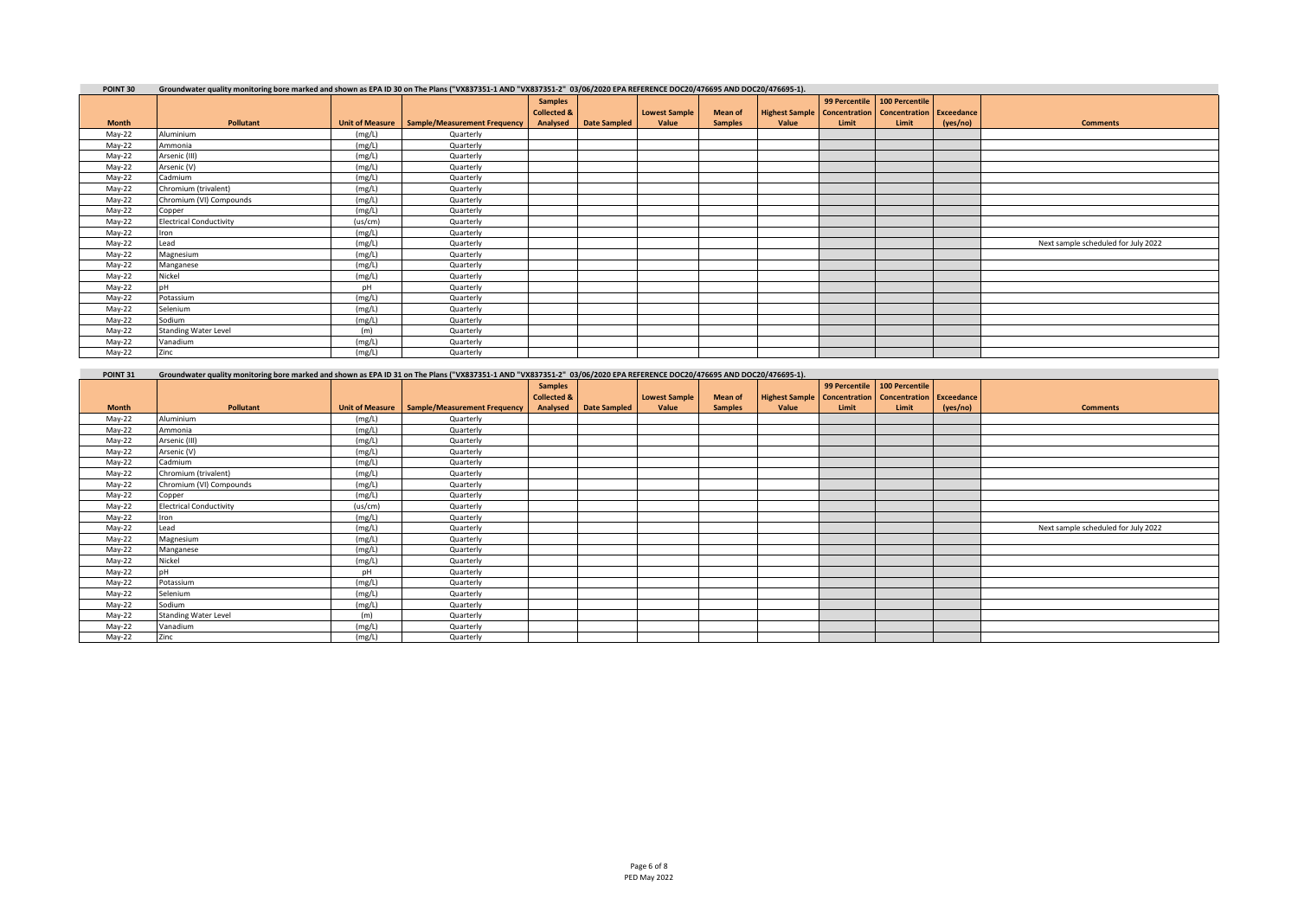| POINT 30     | Groundwater quality monitoring bore marked and shown as EPA ID 30 on The Plans ("VX837351-1 AND "VX837351-2" 03/06/2020 EPA REFERENCE DOC20/476695 AND DOC20/476695-1). |         |                                                |                        |              |                      |                |                                                                    |               |                |          |                                     |
|--------------|-------------------------------------------------------------------------------------------------------------------------------------------------------------------------|---------|------------------------------------------------|------------------------|--------------|----------------------|----------------|--------------------------------------------------------------------|---------------|----------------|----------|-------------------------------------|
|              |                                                                                                                                                                         |         |                                                | <b>Samples</b>         |              |                      |                |                                                                    | 99 Percentile | 100 Percentile |          |                                     |
|              |                                                                                                                                                                         |         |                                                | <b>Collected &amp;</b> |              | <b>Lowest Sample</b> | <b>Mean of</b> | <b>Highest Sample   Concentration   Concentration   Exceedance</b> |               |                |          |                                     |
| <b>Month</b> | Pollutant                                                                                                                                                               |         | Unit of Measure   Sample/Measurement Frequency | Analysed               | Date Sampled | Value                | <b>Samples</b> | Value                                                              | Limit         | Limit          | (yes/no) | <b>Comments</b>                     |
| May-22       | Aluminium                                                                                                                                                               | (mg/L)  | Quarterly                                      |                        |              |                      |                |                                                                    |               |                |          |                                     |
| May-22       | Ammonia                                                                                                                                                                 | (mg/L)  | Quarterly                                      |                        |              |                      |                |                                                                    |               |                |          |                                     |
| May-22       | Arsenic (III)                                                                                                                                                           | (mg/L)  | Quarterly                                      |                        |              |                      |                |                                                                    |               |                |          |                                     |
| May-22       | Arsenic (V)                                                                                                                                                             | (mg/L)  | Quarterly                                      |                        |              |                      |                |                                                                    |               |                |          |                                     |
| May-22       | Cadmium                                                                                                                                                                 | (mg/L)  | Quarterly                                      |                        |              |                      |                |                                                                    |               |                |          |                                     |
| May-22       | Chromium (trivalent)                                                                                                                                                    | (mg/L)  | Quarterly                                      |                        |              |                      |                |                                                                    |               |                |          |                                     |
| May-22       | Chromium (VI) Compounds                                                                                                                                                 | (mg/L)  | Quarterly                                      |                        |              |                      |                |                                                                    |               |                |          |                                     |
| May-22       | Copper                                                                                                                                                                  | (mg/L)  | Quarterly                                      |                        |              |                      |                |                                                                    |               |                |          |                                     |
| May-22       | <b>Electrical Conductivity</b>                                                                                                                                          | (us/cm) | Quarterly                                      |                        |              |                      |                |                                                                    |               |                |          |                                     |
| May-22       | Iron                                                                                                                                                                    | (mg/L)  | Quarterly                                      |                        |              |                      |                |                                                                    |               |                |          |                                     |
| May-22       | Lead                                                                                                                                                                    | (mg/L)  | Quarterly                                      |                        |              |                      |                |                                                                    |               |                |          | Next sample scheduled for July 2022 |
| May-22       | Magnesium                                                                                                                                                               | (mg/L)  | Quarterly                                      |                        |              |                      |                |                                                                    |               |                |          |                                     |
| May-22       | Manganese                                                                                                                                                               | (mg/L)  | Quarterly                                      |                        |              |                      |                |                                                                    |               |                |          |                                     |
| May-22       | Nickel                                                                                                                                                                  | (mg/L)  | Quarterly                                      |                        |              |                      |                |                                                                    |               |                |          |                                     |
| May-22       |                                                                                                                                                                         | pH      | Quarterly                                      |                        |              |                      |                |                                                                    |               |                |          |                                     |
| May-22       | Potassium                                                                                                                                                               | (mg/L)  | Quarterly                                      |                        |              |                      |                |                                                                    |               |                |          |                                     |
| May-22       | Selenium                                                                                                                                                                | (mg/L)  | Quarterly                                      |                        |              |                      |                |                                                                    |               |                |          |                                     |
| May-22       | Sodium                                                                                                                                                                  | (mg/L)  | Quarterly                                      |                        |              |                      |                |                                                                    |               |                |          |                                     |
| May-22       | <b>Standing Water Level</b>                                                                                                                                             | (m)     | Quarterly                                      |                        |              |                      |                |                                                                    |               |                |          |                                     |
| May-22       | Vanadium                                                                                                                                                                | (mg/L)  | Quarterly                                      |                        |              |                      |                |                                                                    |               |                |          |                                     |
| May-22       | Zinc                                                                                                                                                                    | (mg/L)  | Quarterly                                      |                        |              |                      |                |                                                                    |               |                |          |                                     |

| POINT 31     | Groundwater quality monitoring bore marked and shown as EPA ID 31 on The Plans ("VX837351-1 AND "VX837351-2" 03/06/2020 EPA REFERENCE DOC20/476695 AND DOC20/476695-1). |         |                                                |                        |              |               |                |                                                             |       |                              |          |                                     |
|--------------|-------------------------------------------------------------------------------------------------------------------------------------------------------------------------|---------|------------------------------------------------|------------------------|--------------|---------------|----------------|-------------------------------------------------------------|-------|------------------------------|----------|-------------------------------------|
|              |                                                                                                                                                                         |         |                                                | <b>Samples</b>         |              |               |                |                                                             |       | 99 Percentile 100 Percentile |          |                                     |
|              |                                                                                                                                                                         |         |                                                | <b>Collected &amp;</b> |              | Lowest Sample | <b>Mean of</b> | Highest Sample   Concentration   Concentration   Exceedance |       |                              |          |                                     |
| <b>Month</b> | Pollutant                                                                                                                                                               |         | Unit of Measure   Sample/Measurement Frequency | Analysed               | Date Sampled | Value         | <b>Samples</b> | Value                                                       | Limit | Limit                        | (yes/no) | <b>Comments</b>                     |
| May-22       | Aluminium                                                                                                                                                               | (mg/L)  | Quarterly                                      |                        |              |               |                |                                                             |       |                              |          |                                     |
| May-22       | Ammonia                                                                                                                                                                 | (mg/L)  | Quarterly                                      |                        |              |               |                |                                                             |       |                              |          |                                     |
| May-22       | Arsenic (III)                                                                                                                                                           | (mg/L)  | Quarterly                                      |                        |              |               |                |                                                             |       |                              |          |                                     |
| May-22       | Arsenic (V)                                                                                                                                                             | (mg/L)  | Quarterly                                      |                        |              |               |                |                                                             |       |                              |          |                                     |
| May-22       | Cadmium                                                                                                                                                                 | (mg/L)  | Quarterly                                      |                        |              |               |                |                                                             |       |                              |          |                                     |
| May-22       | Chromium (trivalent)                                                                                                                                                    | (mg/L)  | Quarterly                                      |                        |              |               |                |                                                             |       |                              |          |                                     |
| May-22       | Chromium (VI) Compounds                                                                                                                                                 | (mg/L)  | Quarterly                                      |                        |              |               |                |                                                             |       |                              |          |                                     |
| May-22       | Copper                                                                                                                                                                  | (mg/L)  | Quarterly                                      |                        |              |               |                |                                                             |       |                              |          |                                     |
| May-22       | <b>Electrical Conductivity</b>                                                                                                                                          | (us/cm) | Quarterly                                      |                        |              |               |                |                                                             |       |                              |          |                                     |
| May-22       | Iron                                                                                                                                                                    | (mg/L)  | Quarterly                                      |                        |              |               |                |                                                             |       |                              |          |                                     |
| May-22       | Lead                                                                                                                                                                    | (mg/L)  | Quarterly                                      |                        |              |               |                |                                                             |       |                              |          | Next sample scheduled for July 2022 |
| May-22       | Magnesium                                                                                                                                                               | (mg/L)  | Quarterly                                      |                        |              |               |                |                                                             |       |                              |          |                                     |
| May-22       | Manganese                                                                                                                                                               | (mg/L)  | Quarterly                                      |                        |              |               |                |                                                             |       |                              |          |                                     |
| May-22       | Nickel                                                                                                                                                                  | (mg/L)  | Quarterly                                      |                        |              |               |                |                                                             |       |                              |          |                                     |
| May-22       | n <sub>H</sub>                                                                                                                                                          | рH      | Quarterly                                      |                        |              |               |                |                                                             |       |                              |          |                                     |
| May-22       | Potassium                                                                                                                                                               | (mg/L)  | Quarterly                                      |                        |              |               |                |                                                             |       |                              |          |                                     |
| May-22       | Selenium                                                                                                                                                                | (mg/L)  | Quarterly                                      |                        |              |               |                |                                                             |       |                              |          |                                     |
| May-22       | Sodium                                                                                                                                                                  | (mg/L)  | Quarterly                                      |                        |              |               |                |                                                             |       |                              |          |                                     |
| May-22       | <b>Standing Water Level</b>                                                                                                                                             | (m)     | Quarterly                                      |                        |              |               |                |                                                             |       |                              |          |                                     |
| May-22       | Vanadium                                                                                                                                                                | (mg/L)  | Quarterly                                      |                        |              |               |                |                                                             |       |                              |          |                                     |
| May-22       | Zinc                                                                                                                                                                    | (mg/L)  | Quarterly                                      |                        |              |               |                |                                                             |       |                              |          |                                     |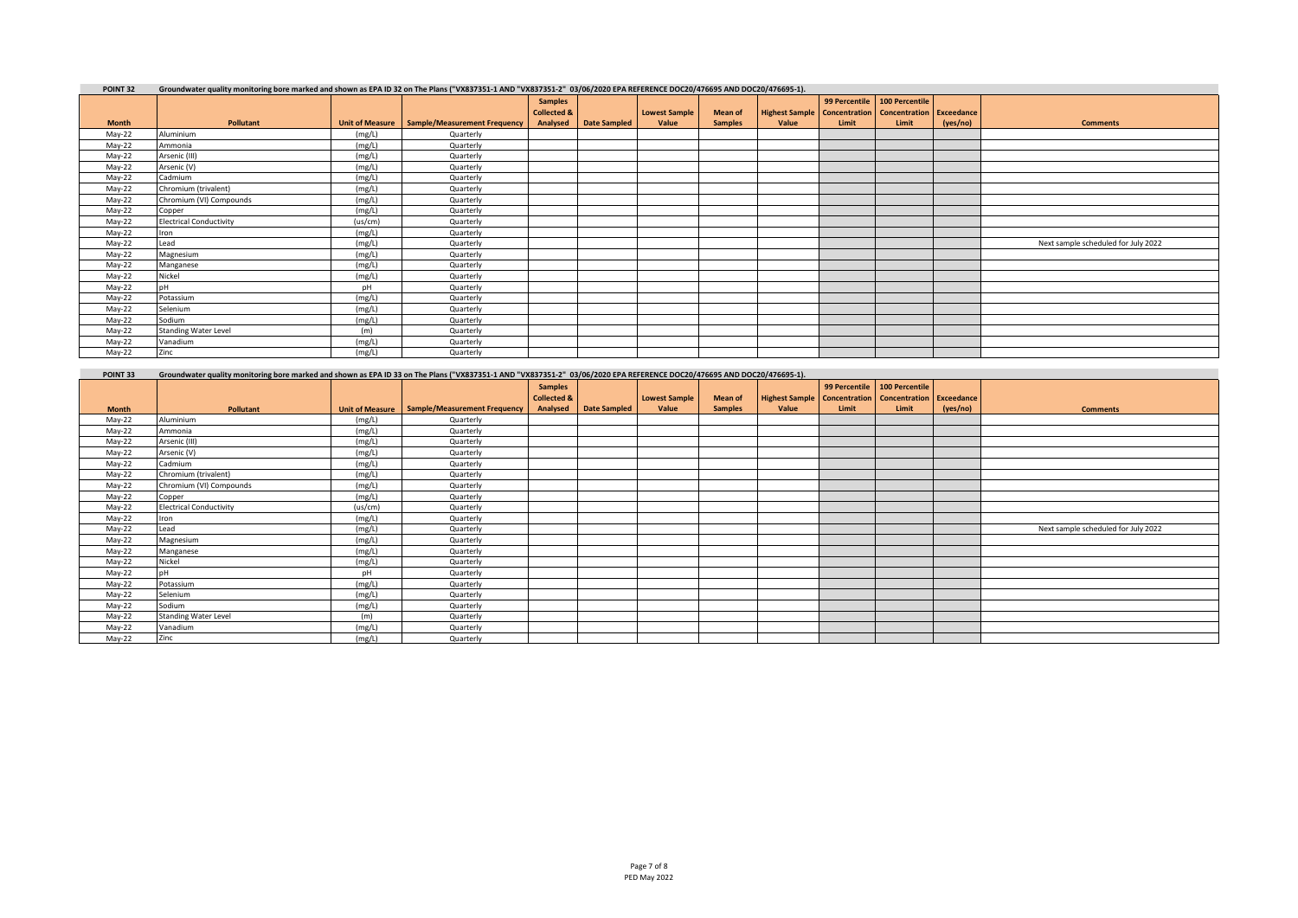| POINT <sub>32</sub> | Groundwater quality monitoring bore marked and shown as EPA ID 32 on The Plans ("VX837351-1 AND "VX837351-2" 03/06/2020 EPA REFERENCE DOC20/476695 AND DOC20/476695-1). |         |                                                |                        |              |                      |                |                                                                    |               |                |          |                                     |
|---------------------|-------------------------------------------------------------------------------------------------------------------------------------------------------------------------|---------|------------------------------------------------|------------------------|--------------|----------------------|----------------|--------------------------------------------------------------------|---------------|----------------|----------|-------------------------------------|
|                     |                                                                                                                                                                         |         |                                                | <b>Samples</b>         |              |                      |                |                                                                    | 99 Percentile | 100 Percentile |          |                                     |
|                     |                                                                                                                                                                         |         |                                                | <b>Collected &amp;</b> |              | <b>Lowest Sample</b> | <b>Mean of</b> | <b>Highest Sample   Concentration   Concentration   Exceedance</b> |               |                |          |                                     |
| <b>Month</b>        | Pollutant                                                                                                                                                               |         | Unit of Measure   Sample/Measurement Frequency | Analysed               | Date Sampled | Value                | <b>Samples</b> | Value                                                              | Limit         | Limit          | (yes/no) | <b>Comments</b>                     |
| May-22              | Aluminium                                                                                                                                                               | (mg/L)  | Quarterly                                      |                        |              |                      |                |                                                                    |               |                |          |                                     |
| May-22              | Ammonia                                                                                                                                                                 | (mg/L)  | Quarterly                                      |                        |              |                      |                |                                                                    |               |                |          |                                     |
| May-22              | Arsenic (III)                                                                                                                                                           | (mg/L)  | Quarterly                                      |                        |              |                      |                |                                                                    |               |                |          |                                     |
| May-22              | Arsenic (V)                                                                                                                                                             | (mg/L)  | Quarterly                                      |                        |              |                      |                |                                                                    |               |                |          |                                     |
| May-22              | Cadmium                                                                                                                                                                 | (mg/L)  | Quarterly                                      |                        |              |                      |                |                                                                    |               |                |          |                                     |
| May-22              | Chromium (trivalent)                                                                                                                                                    | (mg/L)  | Quarterly                                      |                        |              |                      |                |                                                                    |               |                |          |                                     |
| May-22              | Chromium (VI) Compounds                                                                                                                                                 | (mg/L)  | Quarterly                                      |                        |              |                      |                |                                                                    |               |                |          |                                     |
| May-22              | Copper                                                                                                                                                                  | (mg/L)  | Quarterly                                      |                        |              |                      |                |                                                                    |               |                |          |                                     |
| May-22              | <b>Electrical Conductivity</b>                                                                                                                                          | (us/cm) | Quarterly                                      |                        |              |                      |                |                                                                    |               |                |          |                                     |
| May-22              | Iron                                                                                                                                                                    | (mg/L)  | Quarterly                                      |                        |              |                      |                |                                                                    |               |                |          |                                     |
| May-22              | Lead                                                                                                                                                                    | (mg/L)  | Quarterly                                      |                        |              |                      |                |                                                                    |               |                |          | Next sample scheduled for July 2022 |
| May-22              | Magnesium                                                                                                                                                               | (mg/L)  | Quarterly                                      |                        |              |                      |                |                                                                    |               |                |          |                                     |
| May-22              | Manganese                                                                                                                                                               | (mg/L)  | Quarterly                                      |                        |              |                      |                |                                                                    |               |                |          |                                     |
| May-22              | Nickel                                                                                                                                                                  | (mg/L)  | Quarterly                                      |                        |              |                      |                |                                                                    |               |                |          |                                     |
| May-22              |                                                                                                                                                                         | pH      | Quarterly                                      |                        |              |                      |                |                                                                    |               |                |          |                                     |
| May-22              | Potassium                                                                                                                                                               | (mg/L)  | Quarterly                                      |                        |              |                      |                |                                                                    |               |                |          |                                     |
| May-22              | Selenium                                                                                                                                                                | (mg/L)  | Quarterly                                      |                        |              |                      |                |                                                                    |               |                |          |                                     |
| May-22              | Sodium                                                                                                                                                                  | (mg/L)  | Quarterly                                      |                        |              |                      |                |                                                                    |               |                |          |                                     |
| May-22              | <b>Standing Water Level</b>                                                                                                                                             | (m)     | Quarterly                                      |                        |              |                      |                |                                                                    |               |                |          |                                     |
| May-22              | Vanadium                                                                                                                                                                | (mg/L)  | Quarterly                                      |                        |              |                      |                |                                                                    |               |                |          |                                     |
| May-22              | Zinc                                                                                                                                                                    | (mg/L)  | Quarterly                                      |                        |              |                      |                |                                                                    |               |                |          |                                     |

| POINT 33     | Groundwater quality monitoring bore marked and shown as EPA ID 33 on The Plans ("VX837351-1 AND "VX837351-2" 03/06/2020 EPA REFERENCE DOC20/476695 AND DOC20/476695-1). |         |                                                |                        |                     |                      |                |                                                             |       |                                |          |                                     |
|--------------|-------------------------------------------------------------------------------------------------------------------------------------------------------------------------|---------|------------------------------------------------|------------------------|---------------------|----------------------|----------------|-------------------------------------------------------------|-------|--------------------------------|----------|-------------------------------------|
|              |                                                                                                                                                                         |         |                                                | <b>Samples</b>         |                     |                      |                |                                                             |       | 99 Percentile   100 Percentile |          |                                     |
|              |                                                                                                                                                                         |         |                                                | <b>Collected &amp;</b> |                     | <b>Lowest Sample</b> | <b>Mean of</b> | Highest Sample   Concentration   Concentration   Exceedance |       |                                |          |                                     |
| <b>Month</b> | <b>Pollutant</b>                                                                                                                                                        |         | Unit of Measure   Sample/Measurement Frequency | Analysed               | <b>Date Sampled</b> | Value                | <b>Samples</b> | Value                                                       | Limit | Limit                          | (yes/no) | <b>Comments</b>                     |
| May-22       | Aluminium                                                                                                                                                               | (mg/L)  | Quarterly                                      |                        |                     |                      |                |                                                             |       |                                |          |                                     |
| May-22       | Ammonia                                                                                                                                                                 | (mg/L)  | Quarterly                                      |                        |                     |                      |                |                                                             |       |                                |          |                                     |
| May-22       | Arsenic (III)                                                                                                                                                           | (mg/L)  | Quarterly                                      |                        |                     |                      |                |                                                             |       |                                |          |                                     |
| May-22       | Arsenic (V)                                                                                                                                                             | (mg/L)  | Quarterly                                      |                        |                     |                      |                |                                                             |       |                                |          |                                     |
| May-22       | Cadmium                                                                                                                                                                 | (mg/L)  | Quarterly                                      |                        |                     |                      |                |                                                             |       |                                |          |                                     |
| May-22       | Chromium (trivalent)                                                                                                                                                    | (mg/L)  | Quarterly                                      |                        |                     |                      |                |                                                             |       |                                |          |                                     |
| May-22       | Chromium (VI) Compounds                                                                                                                                                 | (mg/L)  | Quarterly                                      |                        |                     |                      |                |                                                             |       |                                |          |                                     |
| May-22       | Copper                                                                                                                                                                  | (mg/L)  | Quarterly                                      |                        |                     |                      |                |                                                             |       |                                |          |                                     |
| May-22       | <b>Electrical Conductivity</b>                                                                                                                                          | (us/cm) | Quarterly                                      |                        |                     |                      |                |                                                             |       |                                |          |                                     |
| May-22       | Iron                                                                                                                                                                    | (mg/L)  | Quarterly                                      |                        |                     |                      |                |                                                             |       |                                |          |                                     |
| May-22       | Lead                                                                                                                                                                    | (mg/L)  | Quarterly                                      |                        |                     |                      |                |                                                             |       |                                |          | Next sample scheduled for July 2022 |
| May-22       | Magnesium                                                                                                                                                               | (mg/L)  | Quarterly                                      |                        |                     |                      |                |                                                             |       |                                |          |                                     |
| May-22       | Manganese                                                                                                                                                               | (mg/L)  | Quarterly                                      |                        |                     |                      |                |                                                             |       |                                |          |                                     |
| May-22       | Nickel                                                                                                                                                                  | (mg/L)  | Quarterly                                      |                        |                     |                      |                |                                                             |       |                                |          |                                     |
| May-22       |                                                                                                                                                                         | pH      | Quarterly                                      |                        |                     |                      |                |                                                             |       |                                |          |                                     |
| May-22       | Potassium                                                                                                                                                               | (mg/L)  | Quarterly                                      |                        |                     |                      |                |                                                             |       |                                |          |                                     |
| May-22       | Selenium                                                                                                                                                                | (mg/L)  | Quarterly                                      |                        |                     |                      |                |                                                             |       |                                |          |                                     |
| May-22       | Sodium                                                                                                                                                                  | (mg/L)  | Quarterly                                      |                        |                     |                      |                |                                                             |       |                                |          |                                     |
| May-22       | <b>Standing Water Level</b>                                                                                                                                             | (m)     | Quarterly                                      |                        |                     |                      |                |                                                             |       |                                |          |                                     |
| May-22       | Vanadium                                                                                                                                                                | (mg/L)  | Quarterly                                      |                        |                     |                      |                |                                                             |       |                                |          |                                     |
| May-22       | Zinc                                                                                                                                                                    | (mg/L)  | Quarterly                                      |                        |                     |                      |                |                                                             |       |                                |          |                                     |